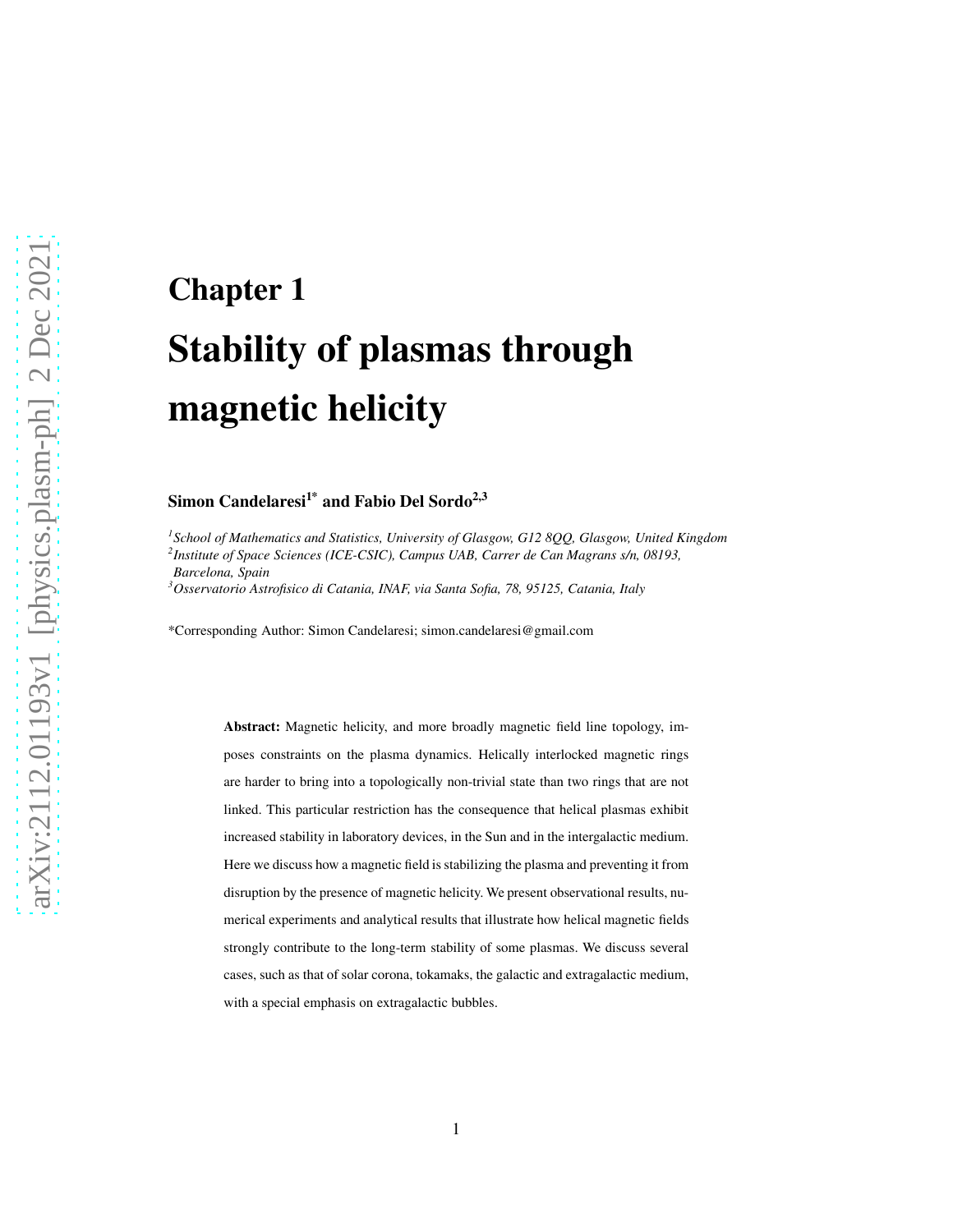# Chapter 1 Stability of plasmas through magnetic helicity

#### Simon Candelaresi<sup>1\*</sup> and Fabio Del Sordo<sup>2,3</sup>

*1 School of Mathematics and Statistics, University of Glasgow, G12 8QQ, Glasgow, United Kingdom*

*2 Institute of Space Sciences (ICE-CSIC), Campus UAB, Carrer de Can Magrans s/n, 08193,*

*Barcelona, Spain*

*<sup>3</sup>Osservatorio Astrofisico di Catania, INAF, via Santa Sofia, 78, 95125, Catania, Italy*

\*Corresponding Author: Simon Candelaresi; simon.candelaresi@gmail.com

Abstract: Magnetic helicity, and more broadly magnetic field line topology, imposes constraints on the plasma dynamics. Helically interlocked magnetic rings are harder to bring into a topologically non-trivial state than two rings that are not linked. This particular restriction has the consequence that helical plasmas exhibit increased stability in laboratory devices, in the Sun and in the intergalactic medium. Here we discuss how a magnetic field is stabilizing the plasma and preventing it from disruption by the presence of magnetic helicity. We present observational results, numerical experiments and analytical results that illustrate how helical magnetic fields strongly contribute to the long-term stability of some plasmas. We discuss several cases, such as that of solar corona, tokamaks, the galactic and extragalactic medium, with a special emphasis on extragalactic bubbles.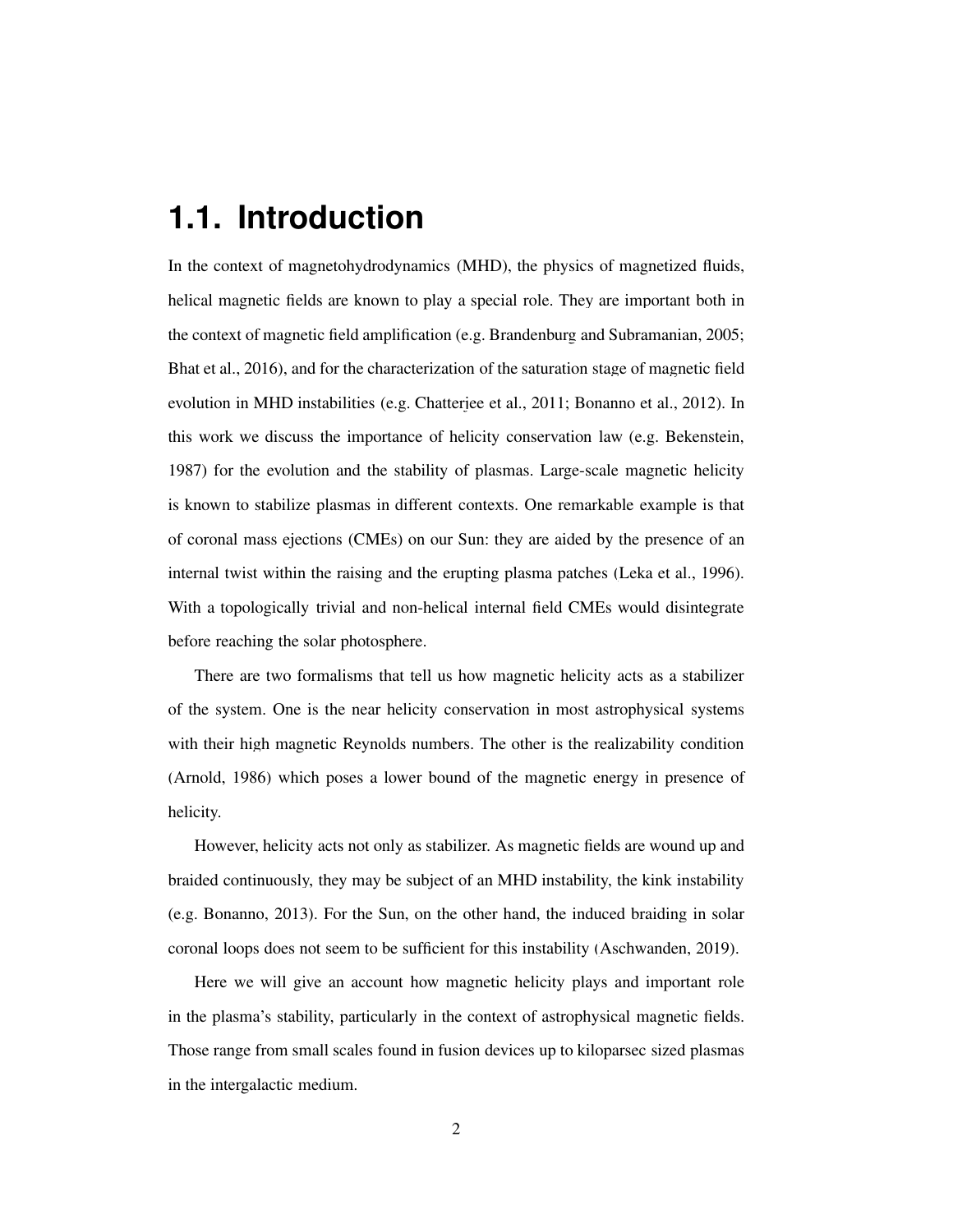## **1.1. Introduction**

In the context of magnetohydrodynamics (MHD), the physics of magnetized fluids, helical magnetic fields are known to play a special role. They are important both in the context of magnetic field amplification (e.g. [Brandenburg and Subramanian](#page-21-0), [2005](#page-21-0); [Bhat et al., 2016](#page-20-0)), and for the characterization of the saturation stage of magnetic field evolution in MHD instabilities (e.g. [Chatterjee et al., 2011](#page-22-0); [Bonanno et al., 2012](#page-20-1)). In this work we discuss the importance of helicity conservation law (e.g. [Bekenstein,](#page-20-2) [1987\)](#page-20-2) for the evolution and the stability of plasmas. Large-scale magnetic helicity is known to stabilize plasmas in different contexts. One remarkable example is that of coronal mass ejections (CMEs) on our Sun: they are aided by the presence of an internal twist within the raising and the erupting plasma patches [\(Leka et al.](#page-23-0), [1996](#page-23-0)). With a topologically trivial and non-helical internal field CMEs would disintegrate before reaching the solar photosphere.

There are two formalisms that tell us how magnetic helicity acts as a stabilizer of the system. One is the near helicity conservation in most astrophysical systems with their high magnetic Reynolds numbers. The other is the realizability condition [\(Arnold](#page-20-3), [1986\)](#page-20-3) which poses a lower bound of the magnetic energy in presence of helicity.

However, helicity acts not only as stabilizer. As magnetic fields are wound up and braided continuously, they may be subject of an MHD instability, the kink instability (e.g. [Bonanno, 2013\)](#page-20-4). For the Sun, on the other hand, the induced braiding in solar coronal loops does not seem to be sufficient for this instability [\(Aschwanden](#page-20-5), [2019\)](#page-20-5).

Here we will give an account how magnetic helicity plays and important role in the plasma's stability, particularly in the context of astrophysical magnetic fields. Those range from small scales found in fusion devices up to kiloparsec sized plasmas in the intergalactic medium.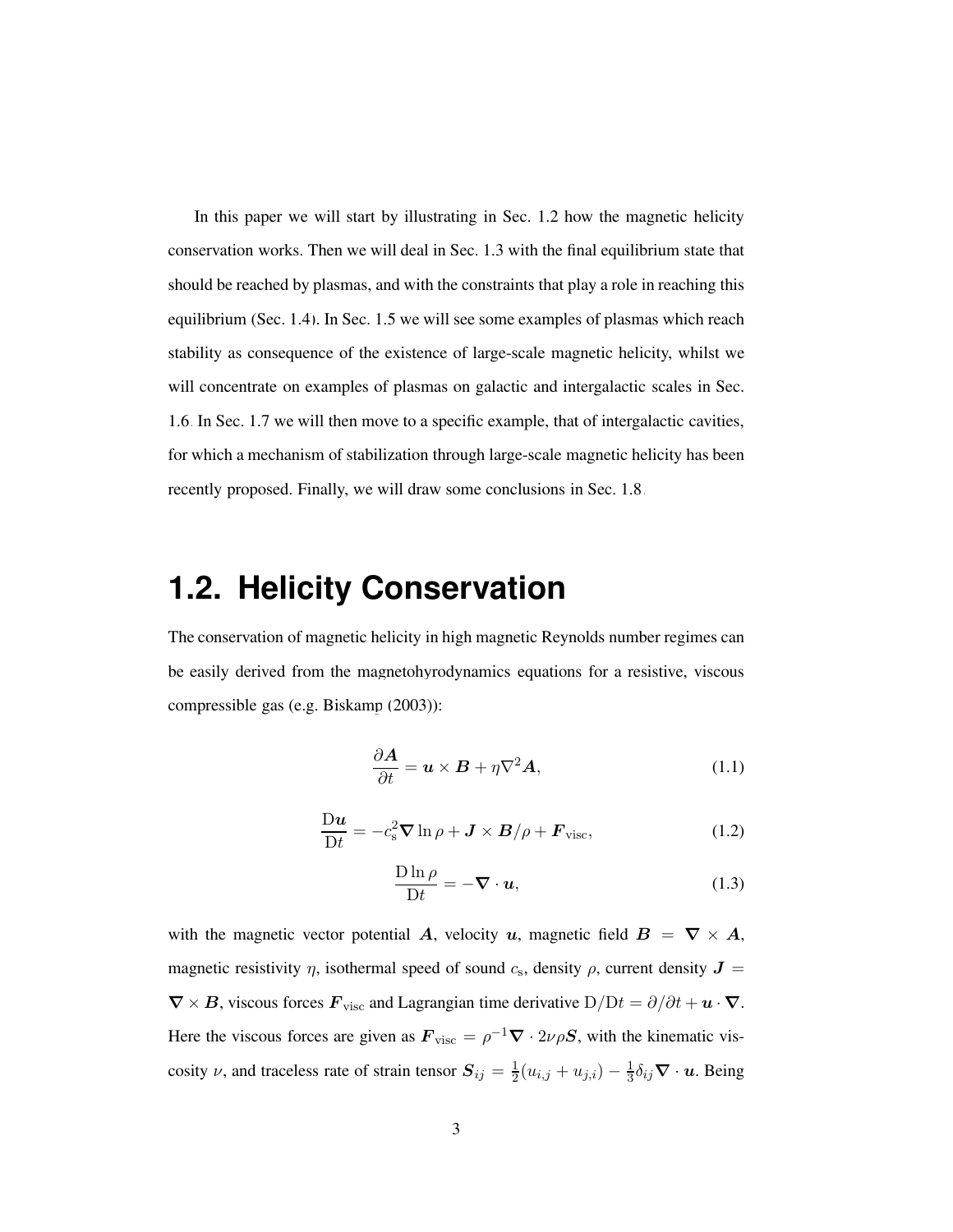In this paper we will start by illustrating in Sec. [1.2](#page-2-0) how the magnetic helicity conservation works. Then we will deal in Sec. [1.3](#page-5-0) with the final equilibrium state that should be reached by plasmas, and with the constraints that play a role in reaching this equilibrium (Sec. [1.4\)](#page-7-0). In Sec. [1.5](#page-8-0) we will see some examples of plasmas which reach stability as consequence of the existence of large-scale magnetic helicity, whilst we will concentrate on examples of plasmas on galactic and intergalactic scales in Sec. [1.6.](#page-11-0) In Sec. [1.7](#page-14-0) we will then move to a specific example, that of intergalactic cavities, for which a mechanism of stabilization through large-scale magnetic helicity has been recently proposed. Finally, we will draw some conclusions in Sec. [1.8.](#page-18-0)

# <span id="page-2-0"></span>**1.2. Helicity Conservation**

The conservation of magnetic helicity in high magnetic Reynolds number regimes can be easily derived from the magnetohyrodynamics equations for a resistive, viscous compressible gas (e.g. [Biskamp](#page-20-6) [\(2003](#page-20-6))):

<span id="page-2-1"></span>
$$
\frac{\partial \mathbf{A}}{\partial t} = \mathbf{u} \times \mathbf{B} + \eta \nabla^2 \mathbf{A},\tag{1.1}
$$

$$
\frac{\mathrm{D}\boldsymbol{u}}{\mathrm{D}t} = -c_{\mathrm{s}}^2 \boldsymbol{\nabla} \ln \rho + \boldsymbol{J} \times \boldsymbol{B} / \rho + \boldsymbol{F}_{\mathrm{visc}},\tag{1.2}
$$

<span id="page-2-2"></span>
$$
\frac{\text{D}\ln\rho}{\text{D}t} = -\nabla \cdot \boldsymbol{u},\tag{1.3}
$$

with the magnetic vector potential A, velocity u, magnetic field  $B = \nabla \times A$ , magnetic resistivity  $\eta$ , isothermal speed of sound  $c_s$ , density  $\rho$ , current density  $J =$  $\nabla \times B$ , viscous forces  $\mathbf{F}_{\text{visc}}$  and Lagrangian time derivative  $D/Dt = \partial/\partial t + \mathbf{u} \cdot \nabla$ . Here the viscous forces are given as  $\mathbf{F}_{\text{visc}} = \rho^{-1} \nabla \cdot 2\nu \rho \mathbf{S}$ , with the kinematic viscosity  $\nu$ , and traceless rate of strain tensor  $S_{ij} = \frac{1}{2}$  $\frac{1}{2}(u_{i,j} + u_{j,i}) - \frac{1}{3}$  $\frac{1}{3}\delta_{ij}\boldsymbol{\nabla}\cdot\boldsymbol{u}$ . Being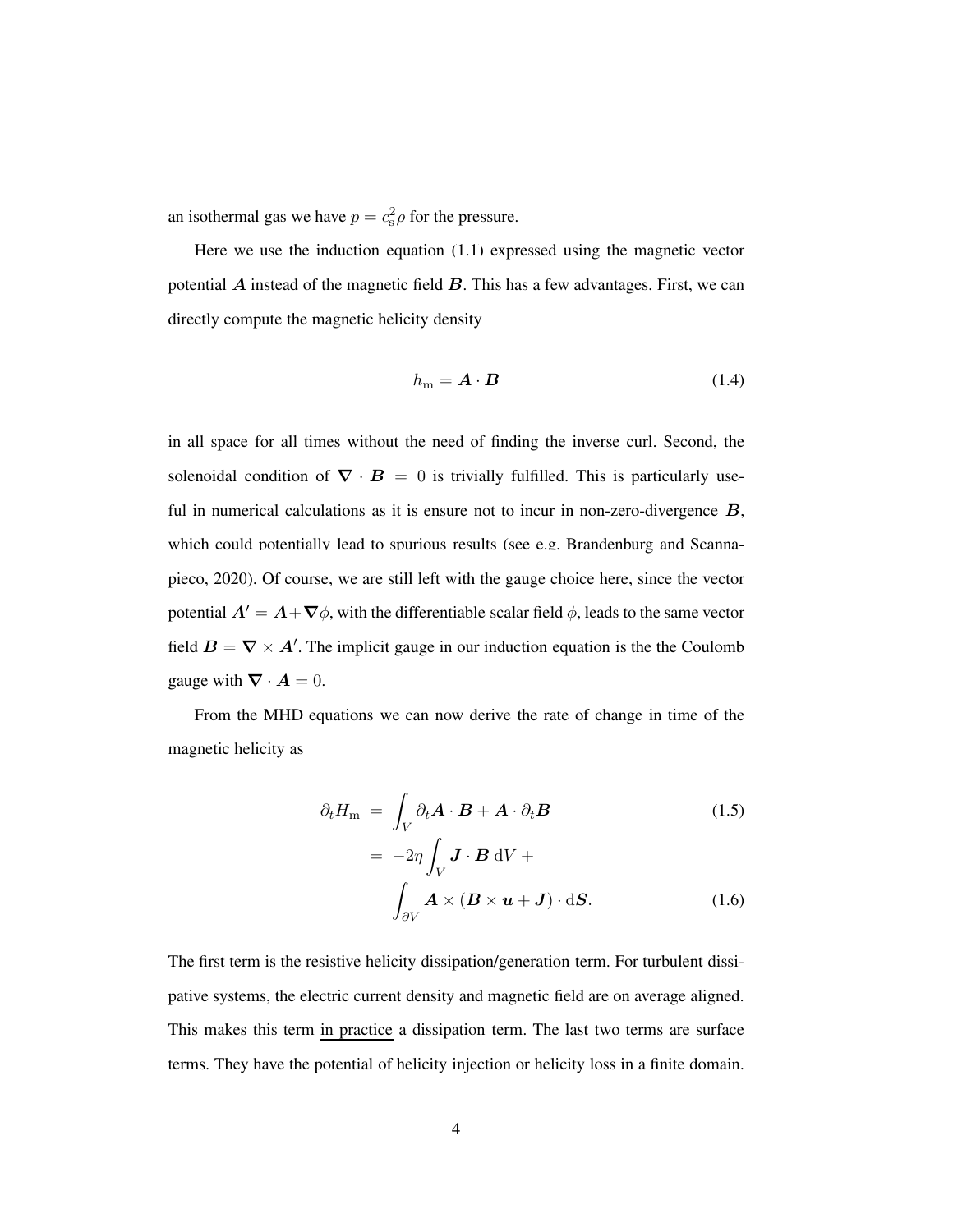an isothermal gas we have  $p = c_s^2 \rho$  for the pressure.

Here we use the induction equation [\(1.1\)](#page-2-1) expressed using the magnetic vector potential  $\vec{A}$  instead of the magnetic field  $\vec{B}$ . This has a few advantages. First, we can directly compute the magnetic helicity density

$$
h_{\rm m} = \mathbf{A} \cdot \mathbf{B} \tag{1.4}
$$

in all space for all times without the need of finding the inverse curl. Second, the solenoidal condition of  $\nabla \cdot \mathbf{B} = 0$  is trivially fulfilled. This is particularly useful in numerical calculations as it is ensure not to incur in non-zero-divergence  $B$ , whic[h could potentially lead to spurious results \(see e.g.](#page-21-1) Brandenburg and Scannapieco, [2020](#page-21-1)). Of course, we are still left with the gauge choice here, since the vector potential  $A' = A + \nabla \phi$ , with the differentiable scalar field  $\phi$ , leads to the same vector field  $B = \nabla \times A'$ . The implicit gauge in our induction equation is the the Coulomb gauge with  $\nabla \cdot \mathbf{A} = 0$ .

From the MHD equations we can now derive the rate of change in time of the magnetic helicity as

$$
\partial_t H_{\rm m} = \int_V \partial_t \mathbf{A} \cdot \mathbf{B} + \mathbf{A} \cdot \partial_t \mathbf{B}
$$
\n
$$
= -2\eta \int \mathbf{J} \cdot \mathbf{B} \, \mathrm{d}V +
$$
\n(1.5)

$$
\int_{\partial V} \boldsymbol{A} \times (\boldsymbol{B} \times \boldsymbol{u} + \boldsymbol{J}) \cdot d\boldsymbol{S}.
$$
 (1.6)

The first term is the resistive helicity dissipation/generation term. For turbulent dissipative systems, the electric current density and magnetic field are on average aligned. This makes this term in practice a dissipation term. The last two terms are surface terms. They have the potential of helicity injection or helicity loss in a finite domain.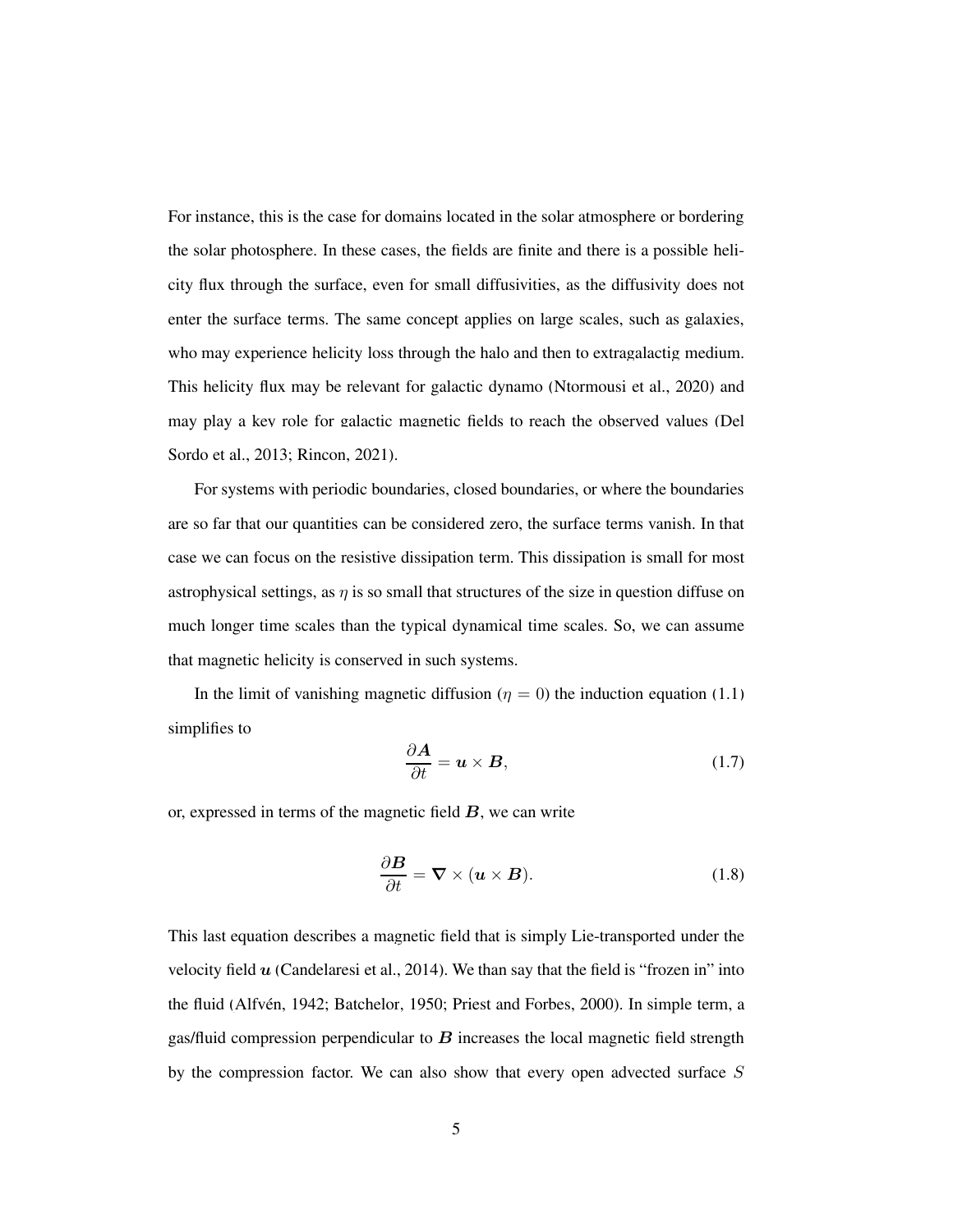For instance, this is the case for domains located in the solar atmosphere or bordering the solar photosphere. In these cases, the fields are finite and there is a possible helicity flux through the surface, even for small diffusivities, as the diffusivity does not enter the surface terms. The same concept applies on large scales, such as galaxies, who may experience helicity loss through the halo and then to extragalactig medium. This helicity flux may be relevant for galactic dynamo [\(Ntormousi et al., 2020\)](#page-24-0) and may play [a key role for galactic magnetic fields to reach the observed values \(](#page-23-1)Del Sordo et al., [2013](#page-23-1); [Rincon](#page-24-1), [2021\)](#page-24-1).

For systems with periodic boundaries, closed boundaries, or where the boundaries are so far that our quantities can be considered zero, the surface terms vanish. In that case we can focus on the resistive dissipation term. This dissipation is small for most astrophysical settings, as  $\eta$  is so small that structures of the size in question diffuse on much longer time scales than the typical dynamical time scales. So, we can assume that magnetic helicity is conserved in such systems.

In the limit of vanishing magnetic diffusion ( $\eta = 0$ ) the induction equation [\(1.1\)](#page-2-1) simplifies to

$$
\frac{\partial \mathbf{A}}{\partial t} = \mathbf{u} \times \mathbf{B},\tag{1.7}
$$

or, expressed in terms of the magnetic field  $B$ , we can write

$$
\frac{\partial \mathbf{B}}{\partial t} = \nabla \times (\mathbf{u} \times \mathbf{B}). \tag{1.8}
$$

This last equation describes a magnetic field that is simply Lie-transported under the velocity field  $u$  [\(Candelaresi et al., 2014\)](#page-21-2). We than say that the field is "frozen in" into the fluid (Alfvén, [1942;](#page-20-7) [Batchelor, 1950;](#page-20-8) [Priest and Forbes, 2000](#page-24-2)). In simple term, a gas/fluid compression perpendicular to  $\bf{B}$  increases the local magnetic field strength by the compression factor. We can also show that every open advected surface  $S$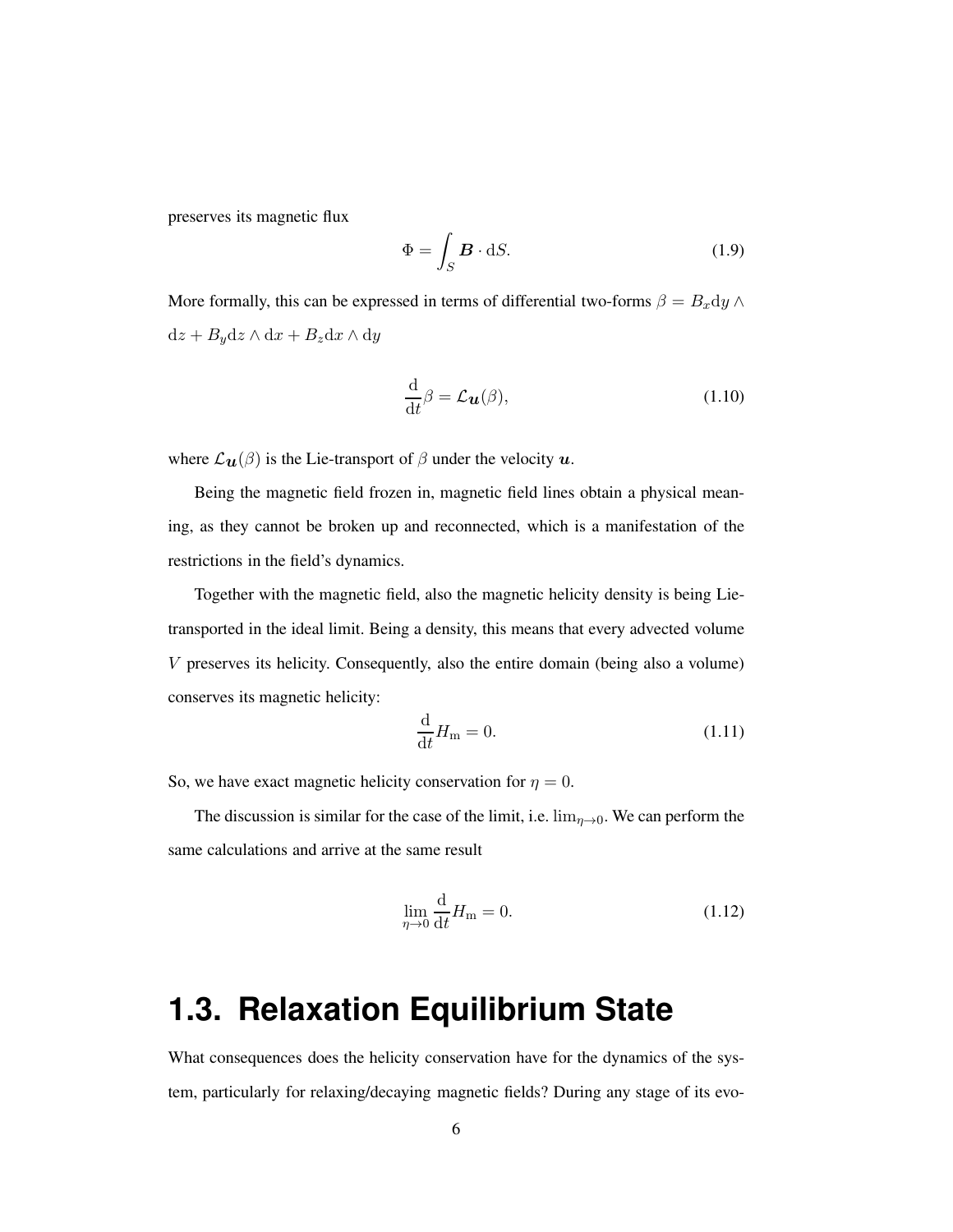preserves its magnetic flux

$$
\Phi = \int_{S} \mathbf{B} \cdot dS. \tag{1.9}
$$

More formally, this can be expressed in terms of differential two-forms  $\beta = B_x dy \wedge dy$  $dz + Bydz \wedge dx + B_z dx \wedge dy$ 

$$
\frac{\mathrm{d}}{\mathrm{d}t}\beta = \mathcal{L}_{\mathbf{u}}(\beta),\tag{1.10}
$$

where  $\mathcal{L}_{\mathbf{u}}(\beta)$  is the Lie-transport of  $\beta$  under the velocity  $\mathbf{u}$ .

Being the magnetic field frozen in, magnetic field lines obtain a physical meaning, as they cannot be broken up and reconnected, which is a manifestation of the restrictions in the field's dynamics.

Together with the magnetic field, also the magnetic helicity density is being Lietransported in the ideal limit. Being a density, this means that every advected volume V preserves its helicity. Consequently, also the entire domain (being also a volume) conserves its magnetic helicity:

$$
\frac{\mathrm{d}}{\mathrm{d}t}H_{\mathrm{m}}=0.\tag{1.11}
$$

So, we have exact magnetic helicity conservation for  $\eta = 0$ .

The discussion is similar for the case of the limit, i.e.  $\lim_{\eta \to 0}$ . We can perform the same calculations and arrive at the same result

$$
\lim_{\eta \to 0} \frac{\mathrm{d}}{\mathrm{d}t} H_{\mathrm{m}} = 0. \tag{1.12}
$$

# <span id="page-5-0"></span>**1.3. Relaxation Equilibrium State**

What consequences does the helicity conservation have for the dynamics of the system, particularly for relaxing/decaying magnetic fields? During any stage of its evo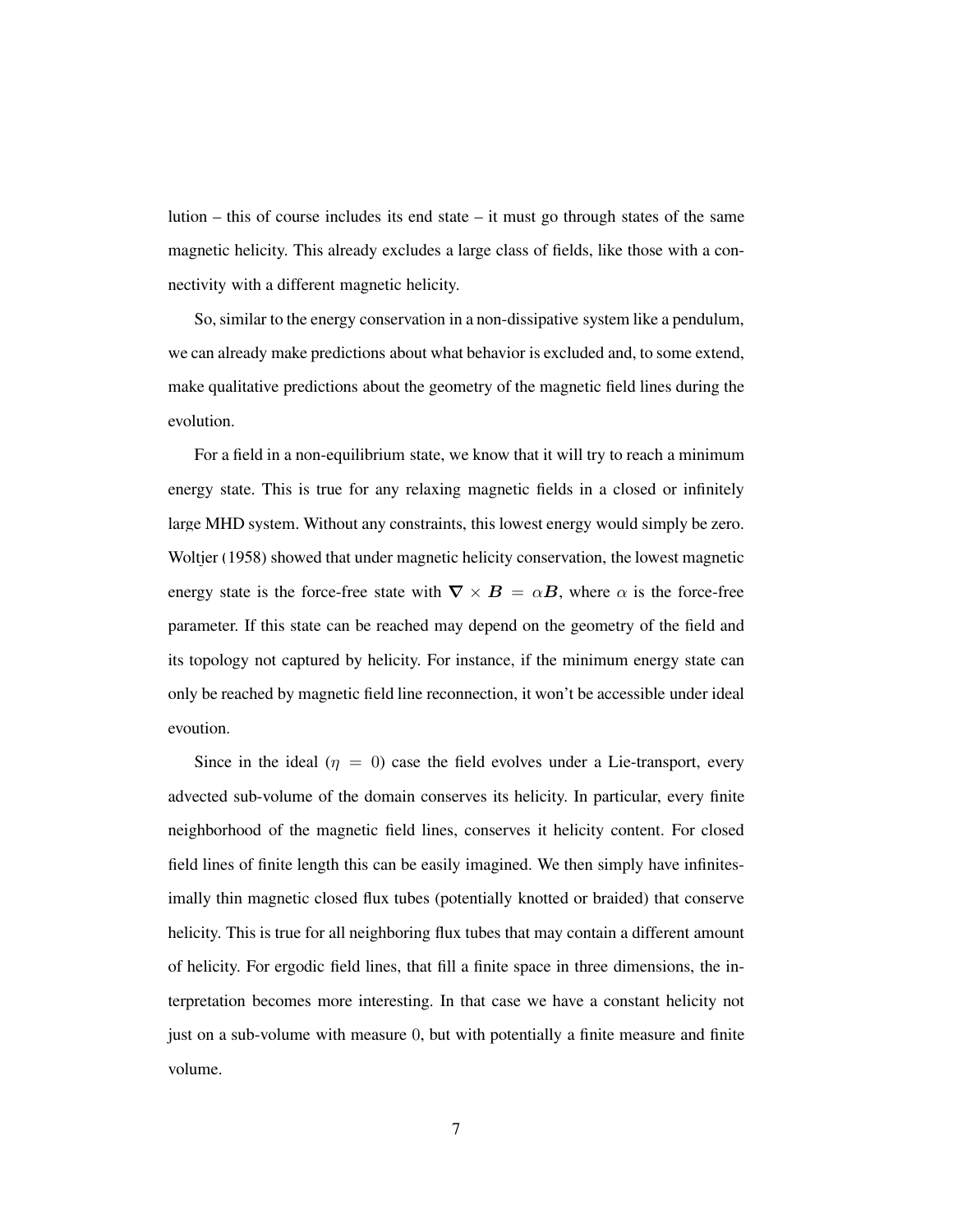lution – this of course includes its end state – it must go through states of the same magnetic helicity. This already excludes a large class of fields, like those with a connectivity with a different magnetic helicity.

So, similar to the energy conservation in a non-dissipative system like a pendulum, we can already make predictions about what behavior is excluded and, to some extend, make qualitative predictions about the geometry of the magnetic field lines during the evolution.

For a field in a non-equilibrium state, we know that it will try to reach a minimum energy state. This is true for any relaxing magnetic fields in a closed or infinitely large MHD system. Without any constraints, this lowest energy would simply be zero. [Woltjer \(1958\)](#page-25-0) showed that under magnetic helicity conservation, the lowest magnetic energy state is the force-free state with  $\nabla \times B = \alpha B$ , where  $\alpha$  is the force-free parameter. If this state can be reached may depend on the geometry of the field and its topology not captured by helicity. For instance, if the minimum energy state can only be reached by magnetic field line reconnection, it won't be accessible under ideal evoution.

Since in the ideal ( $\eta = 0$ ) case the field evolves under a Lie-transport, every advected sub-volume of the domain conserves its helicity. In particular, every finite neighborhood of the magnetic field lines, conserves it helicity content. For closed field lines of finite length this can be easily imagined. We then simply have infinitesimally thin magnetic closed flux tubes (potentially knotted or braided) that conserve helicity. This is true for all neighboring flux tubes that may contain a different amount of helicity. For ergodic field lines, that fill a finite space in three dimensions, the interpretation becomes more interesting. In that case we have a constant helicity not just on a sub-volume with measure 0, but with potentially a finite measure and finite volume.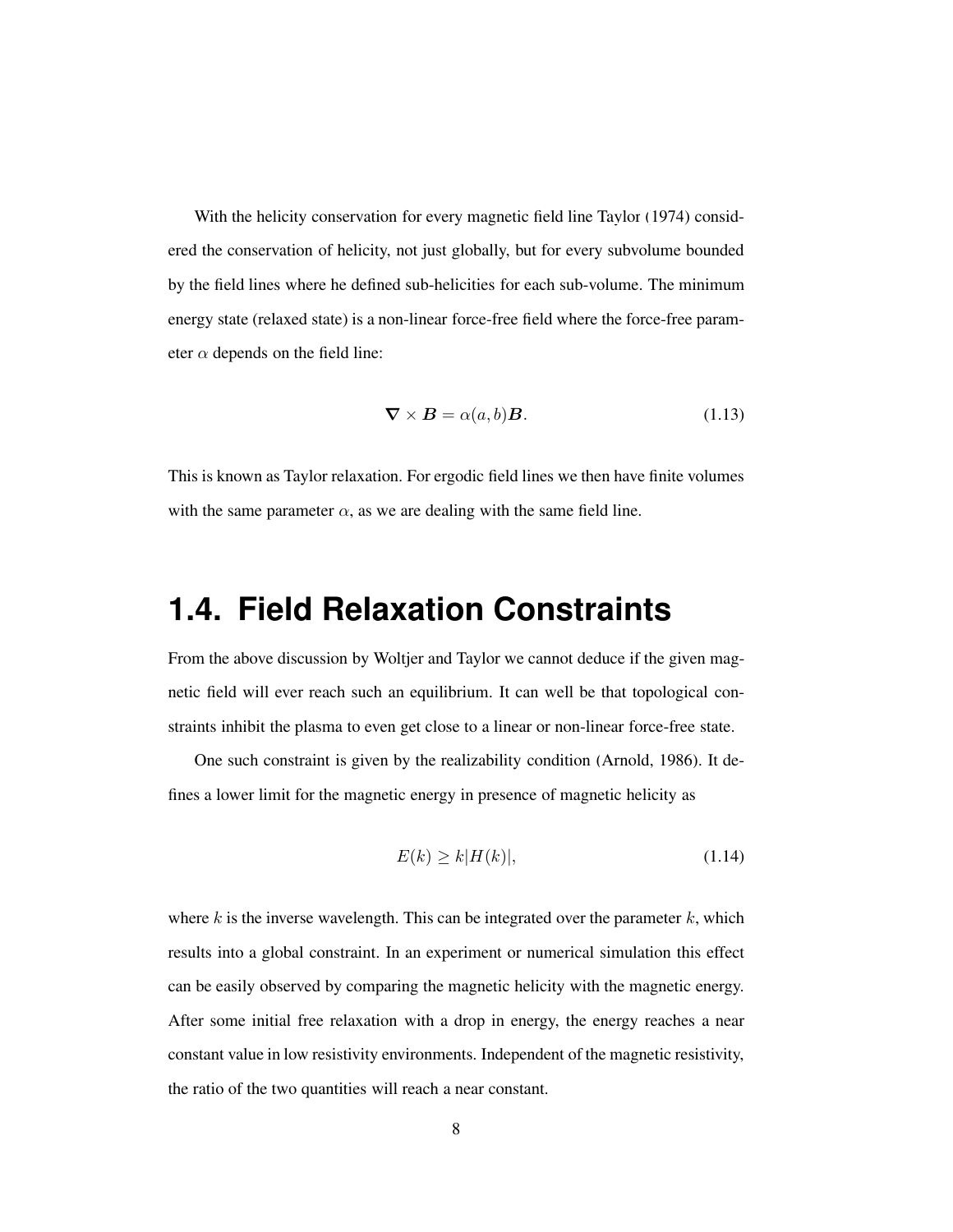With the helicity conservation for every magnetic field line [Taylor \(1974\)](#page-24-3) considered the conservation of helicity, not just globally, but for every subvolume bounded by the field lines where he defined sub-helicities for each sub-volume. The minimum energy state (relaxed state) is a non-linear force-free field where the force-free parameter  $\alpha$  depends on the field line:

$$
\nabla \times \mathbf{B} = \alpha(a, b)\mathbf{B}.
$$
 (1.13)

<span id="page-7-0"></span>This is known as Taylor relaxation. For ergodic field lines we then have finite volumes with the same parameter  $\alpha$ , as we are dealing with the same field line.

## **1.4. Field Relaxation Constraints**

From the above discussion by Woltjer and Taylor we cannot deduce if the given magnetic field will ever reach such an equilibrium. It can well be that topological constraints inhibit the plasma to even get close to a linear or non-linear force-free state.

One such constraint is given by the realizability condition [\(Arnold](#page-20-3), [1986](#page-20-3)). It defines a lower limit for the magnetic energy in presence of magnetic helicity as

<span id="page-7-1"></span>
$$
E(k) \ge k|H(k)|,\tag{1.14}
$$

where k is the inverse wavelength. This can be integrated over the parameter  $k$ , which results into a global constraint. In an experiment or numerical simulation this effect can be easily observed by comparing the magnetic helicity with the magnetic energy. After some initial free relaxation with a drop in energy, the energy reaches a near constant value in low resistivity environments. Independent of the magnetic resistivity, the ratio of the two quantities will reach a near constant.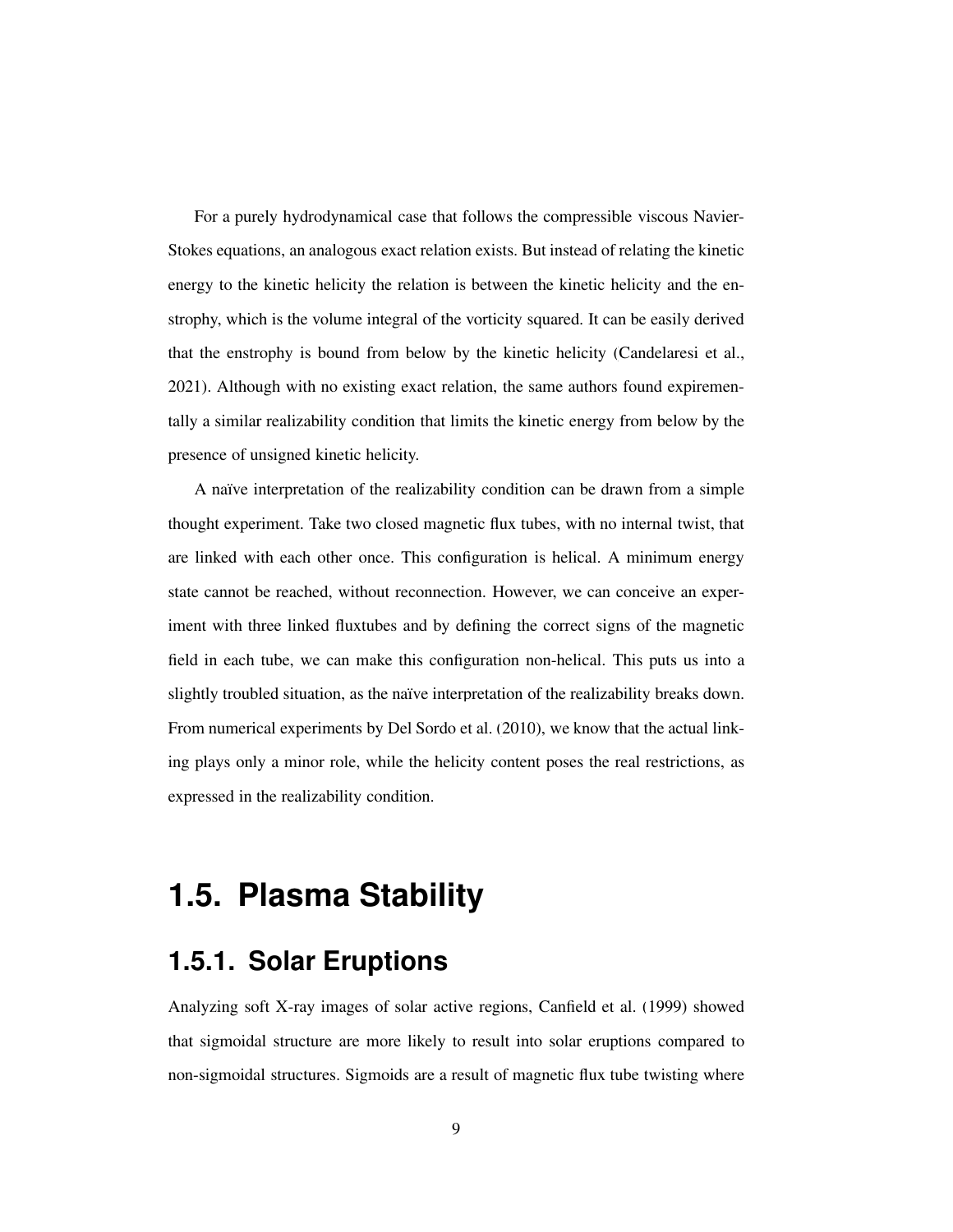For a purely hydrodynamical case that follows the compressible viscous Navier-Stokes equations, an analogous exact relation exists. But instead of relating the kinetic energy to the kinetic helicity the relation is between the kinetic helicity and the enstrophy, which is the volume integral of the vorticity squared. It can be easily derived that the enstrophy is bound from below by the kinetic helicity [\(Candelaresi et al.,](#page-21-3) [2021\)](#page-21-3). Although with no existing exact relation, the same authors found expirementally a similar realizability condition that limits the kinetic energy from below by the presence of unsigned kinetic helicity.

A naïve interpretation of the realizability condition can be drawn from a simple thought experiment. Take two closed magnetic flux tubes, with no internal twist, that are linked with each other once. This configuration is helical. A minimum energy state cannot be reached, without reconnection. However, we can conceive an experiment with three linked fluxtubes and by defining the correct signs of the magnetic field in each tube, we can make this configuration non-helical. This puts us into a slightly troubled situation, as the naïve interpretation of the realizability breaks down. From numerical experiments by [Del Sordo et al.](#page-23-2) [\(2010](#page-23-2)), we know that the actual linking plays only a minor role, while the helicity content poses the real restrictions, as expressed in the realizability condition.

# <span id="page-8-0"></span>**1.5. Plasma Stability**

### **1.5.1. Solar Eruptions**

Analyzing soft X-ray images of solar active regions, [Canfield et al. \(1999](#page-22-1)) showed that sigmoidal structure are more likely to result into solar eruptions compared to non-sigmoidal structures. Sigmoids are a result of magnetic flux tube twisting where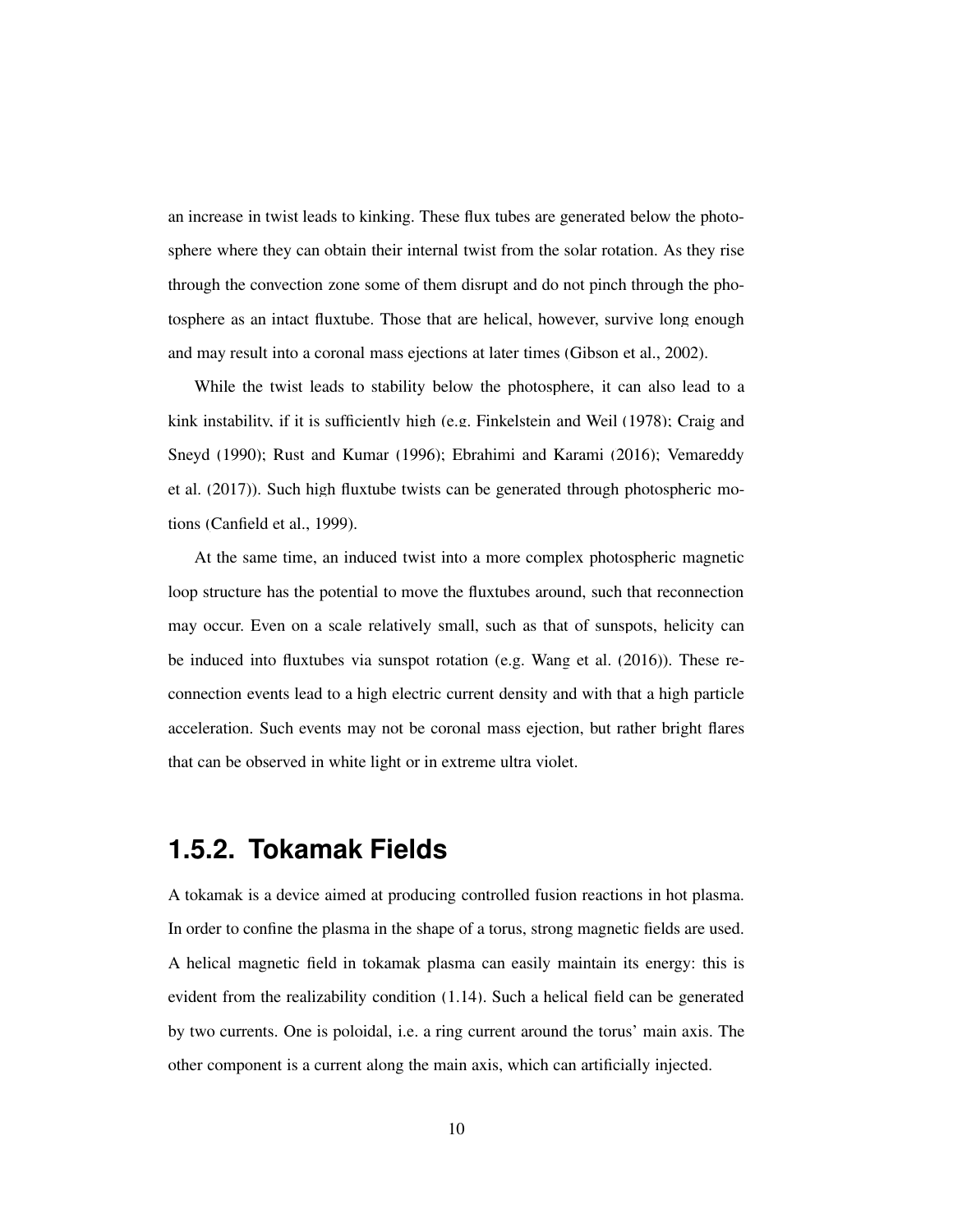an increase in twist leads to kinking. These flux tubes are generated below the photosphere where they can obtain their internal twist from the solar rotation. As they rise through the convection zone some of them disrupt and do not pinch through the photosphere as an intact fluxtube. Those that are helical, however, survive long enough and may result into a coronal mass ejections at later times [\(Gibson et al., 2002\)](#page-23-3).

While the twist leads to stability below the photosphere, it can also lead to a kink i[nstability, if it is sufficiently high \(e.g.](#page-22-2) [Finkelstein and Weil](#page-23-4)[\(1978](#page-23-4)[\);](#page-22-2) Craig and Sney[d](#page-25-1) [\(1990\)](#page-22-2)[;](#page-25-1) [Rust and Kumar](#page-24-4)[\(1996\)](#page-24-4)[;](#page-25-1) [Ebrahimi and Karami](#page-23-5)[\(2016](#page-23-5)[\);](#page-25-1) Vemareddy et al. [\(2017](#page-25-1))). Such high fluxtube twists can be generated through photospheric motions [\(Canfield et al.](#page-22-1), [1999\)](#page-22-1).

At the same time, an induced twist into a more complex photospheric magnetic loop structure has the potential to move the fluxtubes around, such that reconnection may occur. Even on a scale relatively small, such as that of sunspots, helicity can be induced into fluxtubes via sunspot rotation (e.g. [Wang et al.](#page-25-2) [\(2016](#page-25-2))). These reconnection events lead to a high electric current density and with that a high particle acceleration. Such events may not be coronal mass ejection, but rather bright flares that can be observed in white light or in extreme ultra violet.

#### **1.5.2. Tokamak Fields**

A tokamak is a device aimed at producing controlled fusion reactions in hot plasma. In order to confine the plasma in the shape of a torus, strong magnetic fields are used. A helical magnetic field in tokamak plasma can easily maintain its energy: this is evident from the realizability condition [\(1.14\)](#page-7-1). Such a helical field can be generated by two currents. One is poloidal, i.e. a ring current around the torus' main axis. The other component is a current along the main axis, which can artificially injected.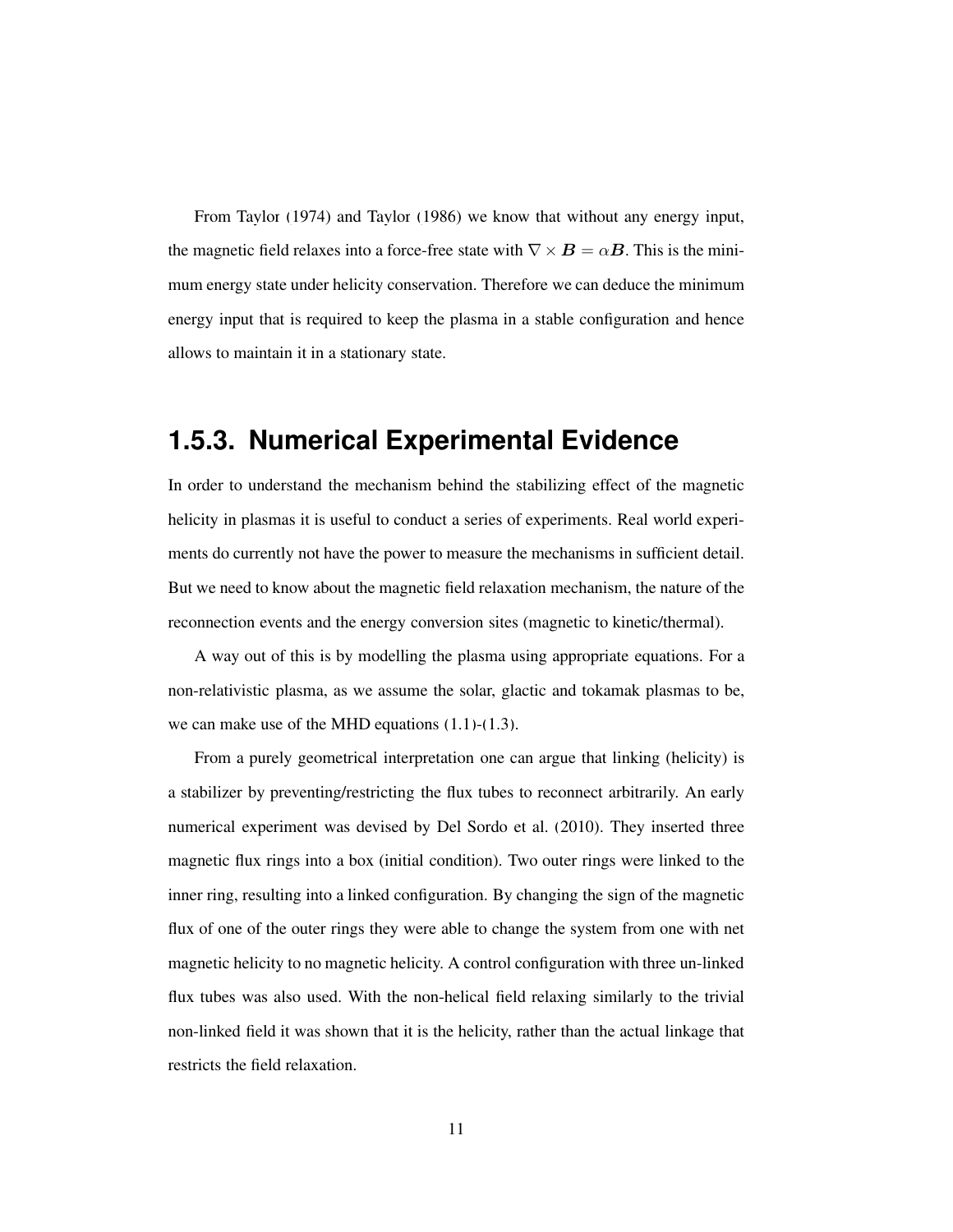From [Taylor](#page-24-3) [\(1974](#page-24-3)) and [Taylor \(1986](#page-25-3)) we know that without any energy input, the magnetic field relaxes into a force-free state with  $\nabla \times \mathbf{B} = \alpha \mathbf{B}$ . This is the minimum energy state under helicity conservation. Therefore we can deduce the minimum energy input that is required to keep the plasma in a stable configuration and hence allows to maintain it in a stationary state.

## **1.5.3. Numerical Experimental Evidence**

In order to understand the mechanism behind the stabilizing effect of the magnetic helicity in plasmas it is useful to conduct a series of experiments. Real world experiments do currently not have the power to measure the mechanisms in sufficient detail. But we need to know about the magnetic field relaxation mechanism, the nature of the reconnection events and the energy conversion sites (magnetic to kinetic/thermal).

A way out of this is by modelling the plasma using appropriate equations. For a non-relativistic plasma, as we assume the solar, glactic and tokamak plasmas to be, we can make use of the MHD equations [\(1.1\)](#page-2-1)-[\(1.3\)](#page-2-2).

From a purely geometrical interpretation one can argue that linking (helicity) is a stabilizer by preventing/restricting the flux tubes to reconnect arbitrarily. An early numerical experiment was devised by [Del Sordo et al. \(2010\)](#page-23-2). They inserted three magnetic flux rings into a box (initial condition). Two outer rings were linked to the inner ring, resulting into a linked configuration. By changing the sign of the magnetic flux of one of the outer rings they were able to change the system from one with net magnetic helicity to no magnetic helicity. A control configuration with three un-linked flux tubes was also used. With the non-helical field relaxing similarly to the trivial non-linked field it was shown that it is the helicity, rather than the actual linkage that restricts the field relaxation.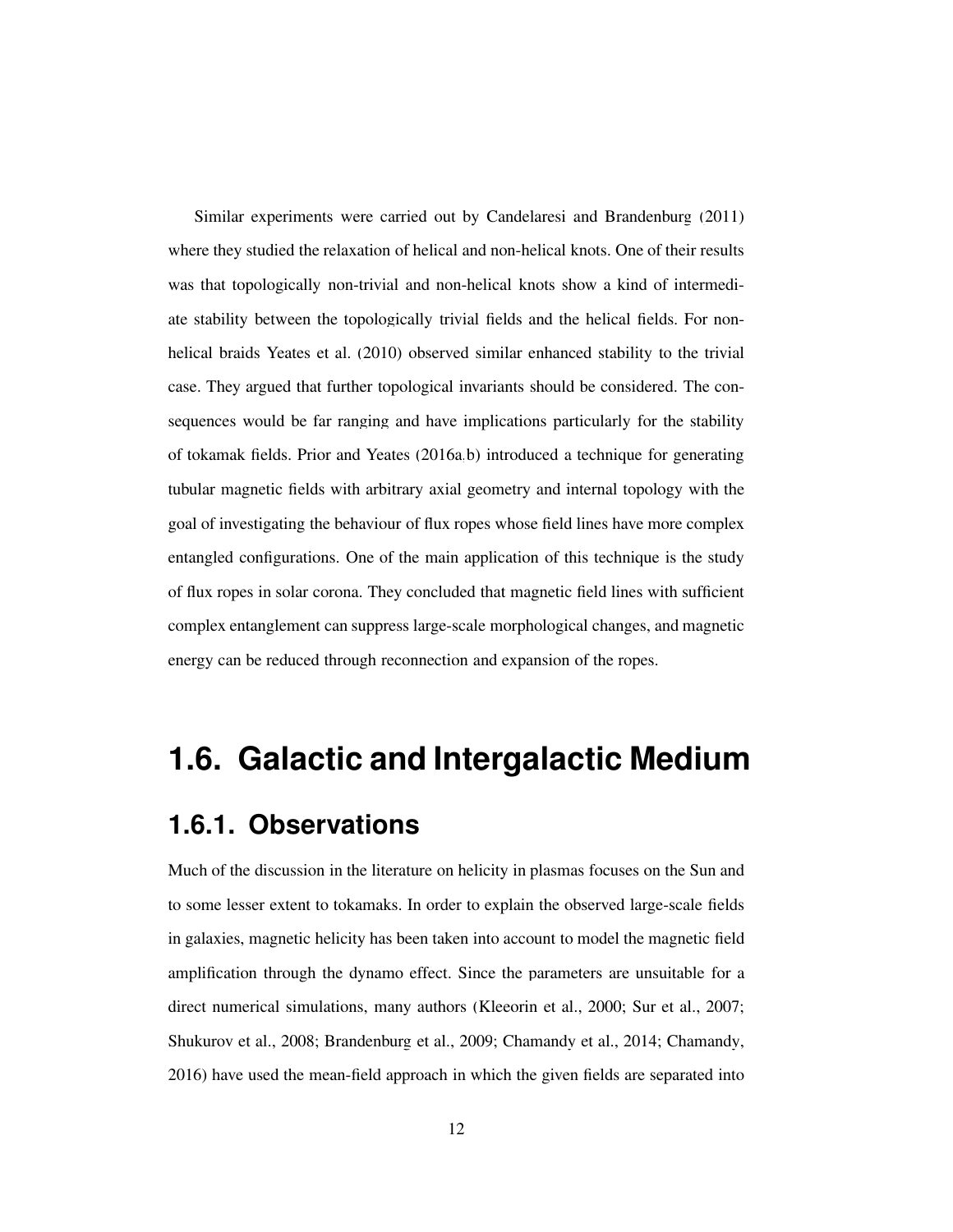Similar experiments were carried out by [Candelaresi and Brandenburg \(2011\)](#page-21-4) where they studied the relaxation of helical and non-helical knots. One of their results was that topologically non-trivial and non-helical knots show a kind of intermediate stability between the topologically trivial fields and the helical fields. For nonhelical braids [Yeates et al. \(2010\)](#page-25-4) observed similar enhanced stability to the trivial case. They argued that further topological invariants should be considered. The consequences would be far ranging and have implications particularly for the stability of tokamak fields. [Prior and Yeates](#page-24-5) [\(2016a](#page-24-5)[,b](#page-24-6)) introduced a technique for generating tubular magnetic fields with arbitrary axial geometry and internal topology with the goal of investigating the behaviour of flux ropes whose field lines have more complex entangled configurations. One of the main application of this technique is the study of flux ropes in solar corona. They concluded that magnetic field lines with sufficient complex entanglement can suppress large-scale morphological changes, and magnetic energy can be reduced through reconnection and expansion of the ropes.

## <span id="page-11-0"></span>**1.6. Galactic and Intergalactic Medium**

### **1.6.1. Observations**

Much of the discussion in the literature on helicity in plasmas focuses on the Sun and to some lesser extent to tokamaks. In order to explain the observed large-scale fields in galaxies, magnetic helicity has been taken into account to model the magnetic field amplification through the dynamo effect. Since the parameters are unsuitable for a direct numerical simulations, many authors [\(Kleeorin et al., 2000](#page-23-6); [Sur et al.](#page-24-7), [2007](#page-24-7); [Shukurov et al., 2008](#page-24-8); [Brandenburg et al.](#page-21-5), [2009;](#page-21-5) [Chamandy et](#page-22-3) al., [2014](#page-22-3); [Chamandy,](#page-22-4) [2016\)](#page-22-4) have used the mean-field approach in which the given fields are separated into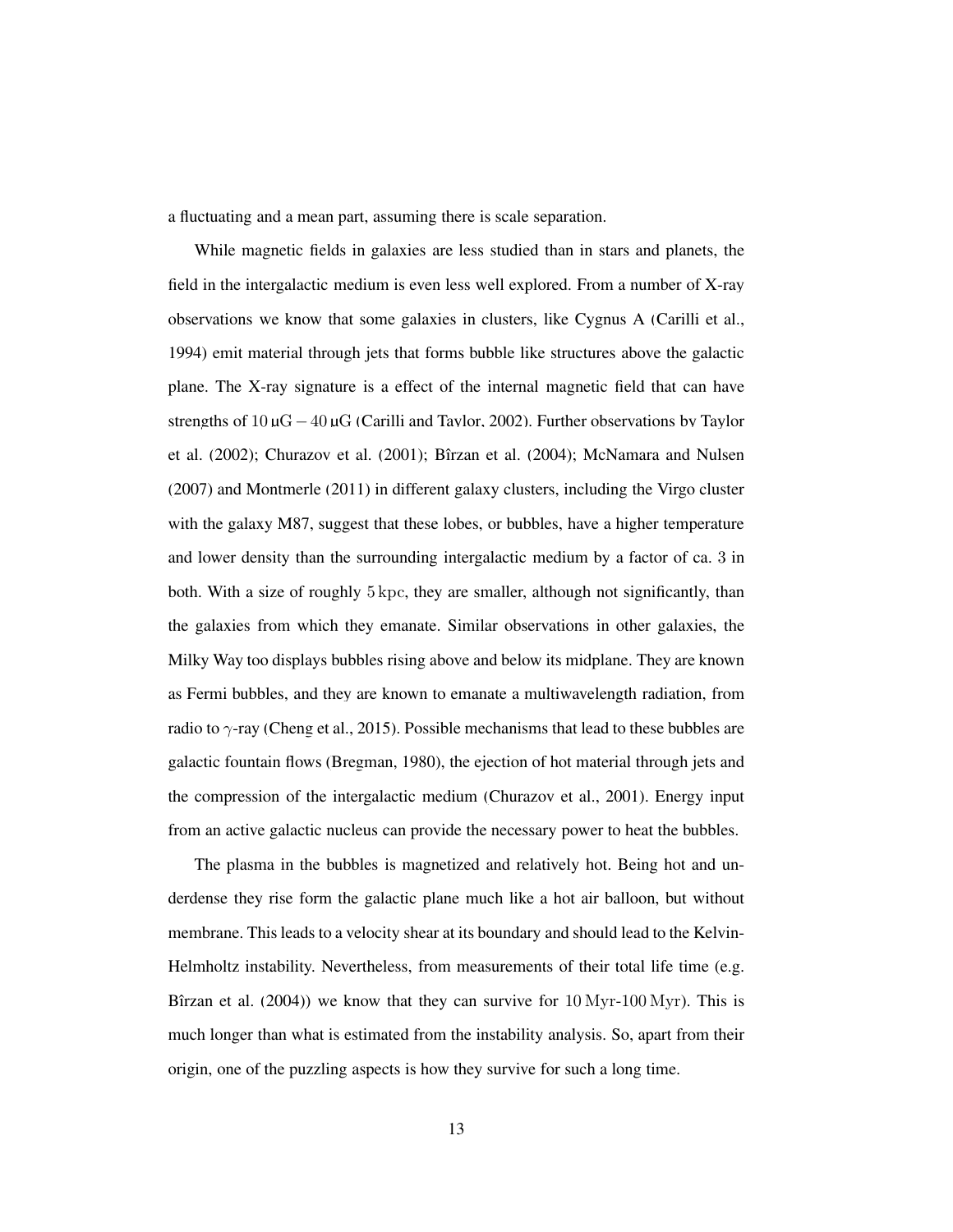a fluctuating and a mean part, assuming there is scale separation.

While magnetic fields in galaxies are less studied than in stars and planets, the field in the intergalactic medium is even less well explored. From a number of X-ray observations we know that some galaxies in clusters, like Cygnus A [\(Carilli et al.,](#page-22-5) [1994\)](#page-22-5) emit material through jets that forms bubble like structures above the galactic plane. The X-ray signature is a effect of the internal magnetic field that can have strengths of  $10 \mu$ G $-40 \mu$ G [\(Carilli and Taylor](#page-22-6)[,](#page-24-9) [2002](#page-22-6)[\). Further observations by](#page-24-9) Taylor et al. [\(2002\)](#page-24-9); [Churazov et al.](#page-22-7) [\(2001](#page-22-7)); Bîrzan et al. (2004); [McNamara and Nulsen](#page-23-7) [\(2007](#page-23-7)) and [Montmerle \(2011](#page-23-8)) in different galaxy clusters, including the Virgo cluster with the galaxy M87, suggest that these lobes, or bubbles, have a higher temperature and lower density than the surrounding intergalactic medium by a factor of ca. 3 in both. With a size of roughly 5 kpc, they are smaller, although not significantly, than the galaxies from which they emanate. Similar observations in other galaxies, the Milky Way too displays bubbles rising above and below its midplane. They are known as Fermi bubbles, and they are known to emanate a multiwavelength radiation, from radio to  $\gamma$ -ray [\(Cheng et al., 2015](#page-22-8)). Possible mechanisms that lead to these bubbles are galactic fountain flows [\(Bregman, 1980\)](#page-21-6), the ejection of hot material through jets and the compression of the intergalactic medium [\(Churazov et al., 2001\)](#page-22-7). Energy input from an active galactic nucleus can provide the necessary power to heat the bubbles.

The plasma in the bubbles is magnetized and relatively hot. Being hot and underdense they rise form the galactic plane much like a hot air balloon, but without membrane. This leads to a velocity shear at its boundary and should lead to the Kelvin-Helmholtz instability. Nevertheless, from measurements of their total life time (e.g. Bîrzan et al.  $(2004)$ ) we know that they can survive for  $10$  Myr- $100$  Myr). This is much longer than what is estimated from the instability analysis. So, apart from their origin, one of the puzzling aspects is how they survive for such a long time.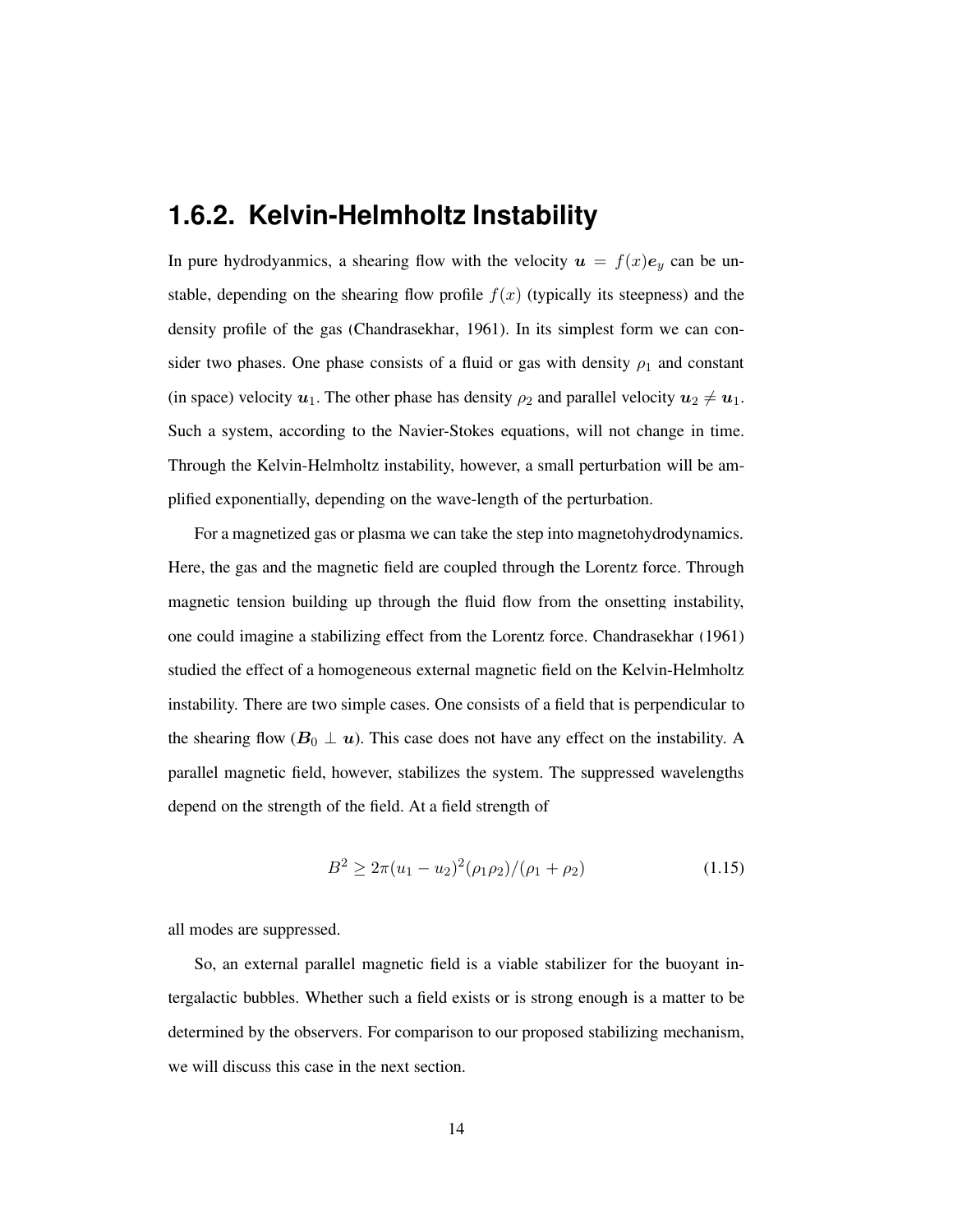#### **1.6.2. Kelvin-Helmholtz Instability**

In pure hydrodyanmics, a shearing flow with the velocity  $u = f(x)e_y$  can be unstable, depending on the shearing flow profile  $f(x)$  (typically its steepness) and the density profile of the gas [\(Chandrasekhar](#page-22-9), [1961](#page-22-9)). In its simplest form we can consider two phases. One phase consists of a fluid or gas with density  $\rho_1$  and constant (in space) velocity  $u_1$ . The other phase has density  $\rho_2$  and parallel velocity  $u_2 \neq u_1$ . Such a system, according to the Navier-Stokes equations, will not change in time. Through the Kelvin-Helmholtz instability, however, a small perturbation will be amplified exponentially, depending on the wave-length of the perturbation.

For a magnetized gas or plasma we can take the step into magnetohydrodynamics. Here, the gas and the magnetic field are coupled through the Lorentz force. Through magnetic tension building up through the fluid flow from the onsetting instability, one could imagine a stabilizing effect from the Lorentz force. [Chandrasekhar \(1961\)](#page-22-9) studied the effect of a homogeneous external magnetic field on the Kelvin-Helmholtz instability. There are two simple cases. One consists of a field that is perpendicular to the shearing flow ( $B_0 \perp u$ ). This case does not have any effect on the instability. A parallel magnetic field, however, stabilizes the system. The suppressed wavelengths depend on the strength of the field. At a field strength of

$$
B^2 \ge 2\pi (u_1 - u_2)^2 (\rho_1 \rho_2) / (\rho_1 + \rho_2)
$$
\n(1.15)

all modes are suppressed.

So, an external parallel magnetic field is a viable stabilizer for the buoyant intergalactic bubbles. Whether such a field exists or is strong enough is a matter to be determined by the observers. For comparison to our proposed stabilizing mechanism, we will discuss this case in the next section.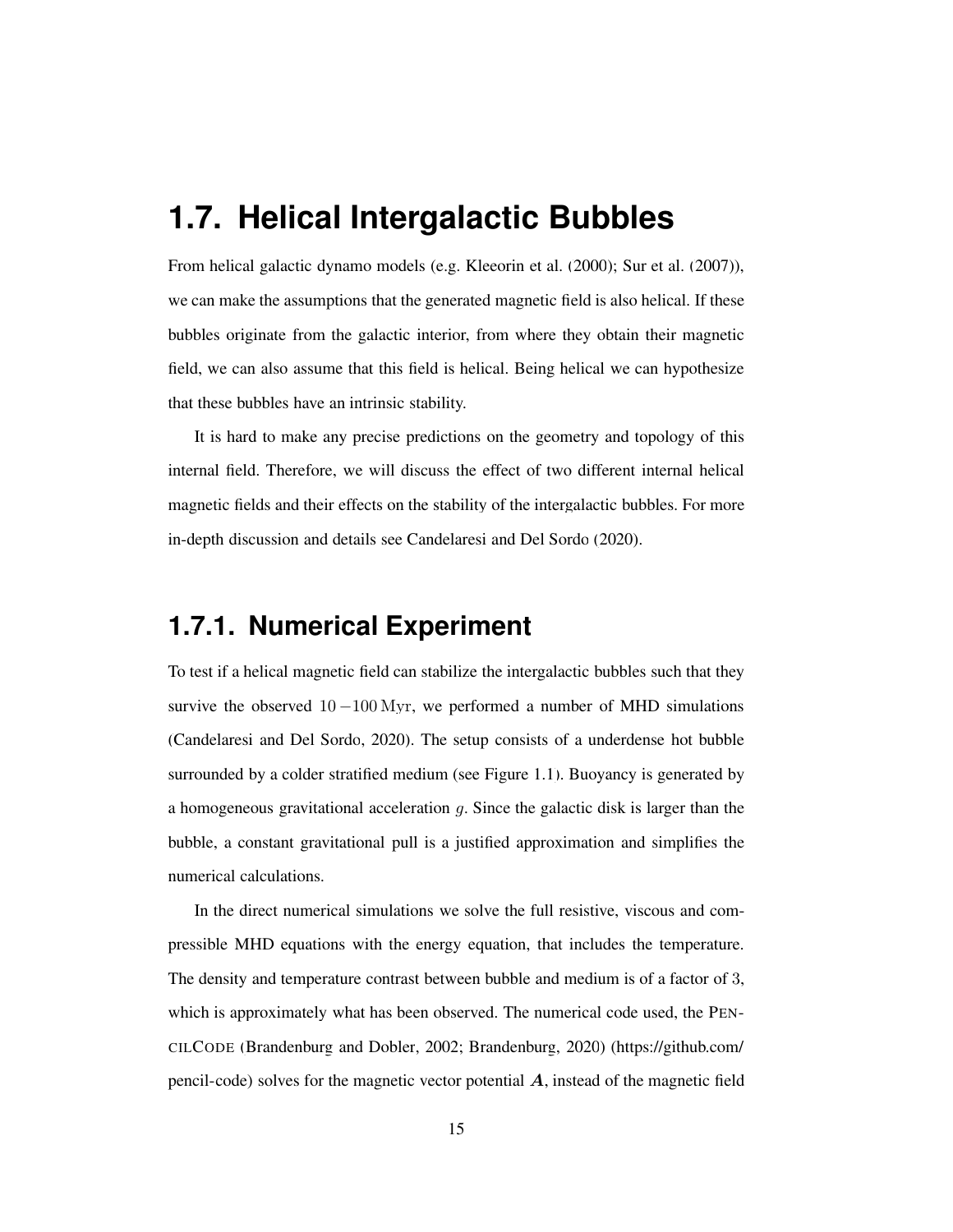## <span id="page-14-0"></span>**1.7. Helical Intergalactic Bubbles**

From helical galactic dynamo models (e.g. [Kleeorin et al.](#page-23-6) [\(2000](#page-23-6)); [Sur et al.](#page-24-7) [\(2007](#page-24-7))), we can make the assumptions that the generated magnetic field is also helical. If these bubbles originate from the galactic interior, from where they obtain their magnetic field, we can also assume that this field is helical. Being helical we can hypothesize that these bubbles have an intrinsic stability.

It is hard to make any precise predictions on the geometry and topology of this internal field. Therefore, we will discuss the effect of two different internal helical magnetic fields and their effects on the stability of the intergalactic bubbles. For more in-depth discussion and details see [Candelaresi and Del Sordo \(2020\)](#page-21-7).

#### **1.7.1. Numerical Experiment**

To test if a helical magnetic field can stabilize the intergalactic bubbles such that they survive the observed  $10 - 100$  Myr, we performed a number of MHD simulations [\(Candelaresi and Del Sordo, 2020](#page-21-7)). The setup consists of a underdense hot bubble surrounded by a colder stratified medium (see Figure [1.1\)](#page-15-0). Buoyancy is generated by a homogeneous gravitational acceleration  $q$ . Since the galactic disk is larger than the bubble, a constant gravitational pull is a justified approximation and simplifies the numerical calculations.

In the direct numerical simulations we solve the full resistive, viscous and compressible MHD equations with the energy equation, that includes the temperature. The density and temperature contrast between bubble and medium is of a factor of 3, which is approximately what has been observed. The numerical code used, the PEN-CILCODE [\(Brandenburg and Dobler](#page-21-8), [2002;](#page-21-8) [Brandenburg](#page-21-9), [2020\)](#page-21-9) [\(https://github.com/](https://github.com/pencil-code) [pencil-code\)](https://github.com/pencil-code) solves for the magnetic vector potential  $A$ , instead of the magnetic field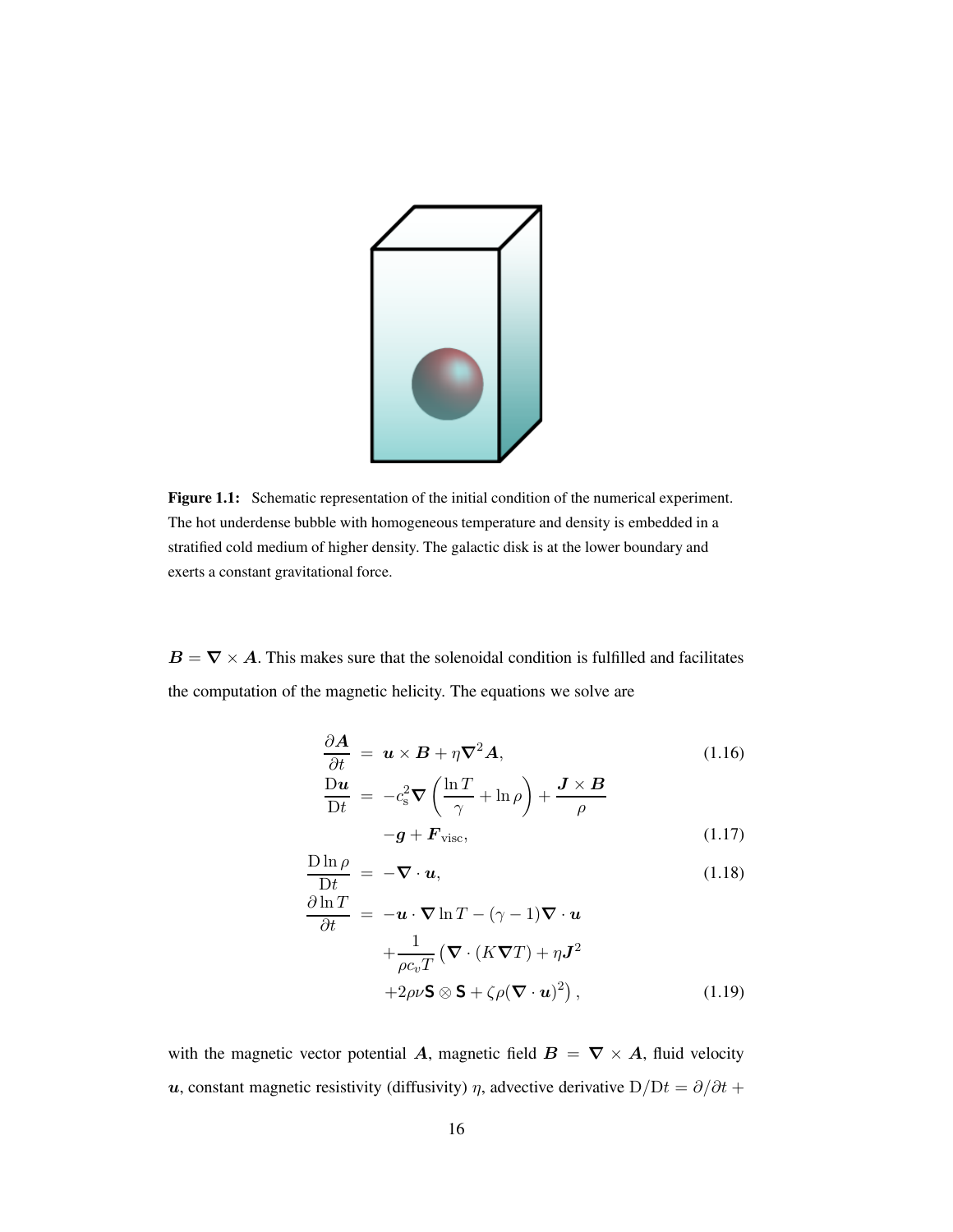

<span id="page-15-0"></span>Figure 1.1: Schematic representation of the initial condition of the numerical experiment. The hot underdense bubble with homogeneous temperature and density is embedded in a stratified cold medium of higher density. The galactic disk is at the lower boundary and exerts a constant gravitational force.

 $B = \nabla \times A$ . This makes sure that the solenoidal condition is fulfilled and facilitates the computation of the magnetic helicity. The equations we solve are

$$
\frac{\partial \mathbf{A}}{\partial t} = \mathbf{u} \times \mathbf{B} + \eta \nabla^2 \mathbf{A},\tag{1.16}
$$

$$
\frac{\mathbf{D}u}{\mathbf{D}t} = -c_s^2 \nabla \left( \frac{\ln T}{\gamma} + \ln \rho \right) + \frac{\mathbf{J} \times \mathbf{B}}{\rho}
$$

$$
-\mathbf{g} + \mathbf{F}_{\text{visc}}, \tag{1.17}
$$

$$
\frac{\text{D}\ln\rho}{\text{D}t} = -\nabla \cdot \boldsymbol{u},\tag{1.18}
$$

$$
\frac{\partial \ln T}{\partial t} = -\boldsymbol{u} \cdot \nabla \ln T - (\gamma - 1) \nabla \cdot \boldsymbol{u}
$$

$$
+ \frac{1}{\rho c_v T} \left( \nabla \cdot (K \nabla T) + \eta \boldsymbol{J}^2 + 2\rho \nu \mathbf{S} \otimes \mathbf{S} + \zeta \rho (\nabla \cdot \boldsymbol{u})^2 \right), \tag{1.19}
$$

with the magnetic vector potential A, magnetic field  $B = \nabla \times A$ , fluid velocity u, constant magnetic resistivity (diffusivity)  $\eta$ , advective derivative D/Dt =  $\partial/\partial t$  +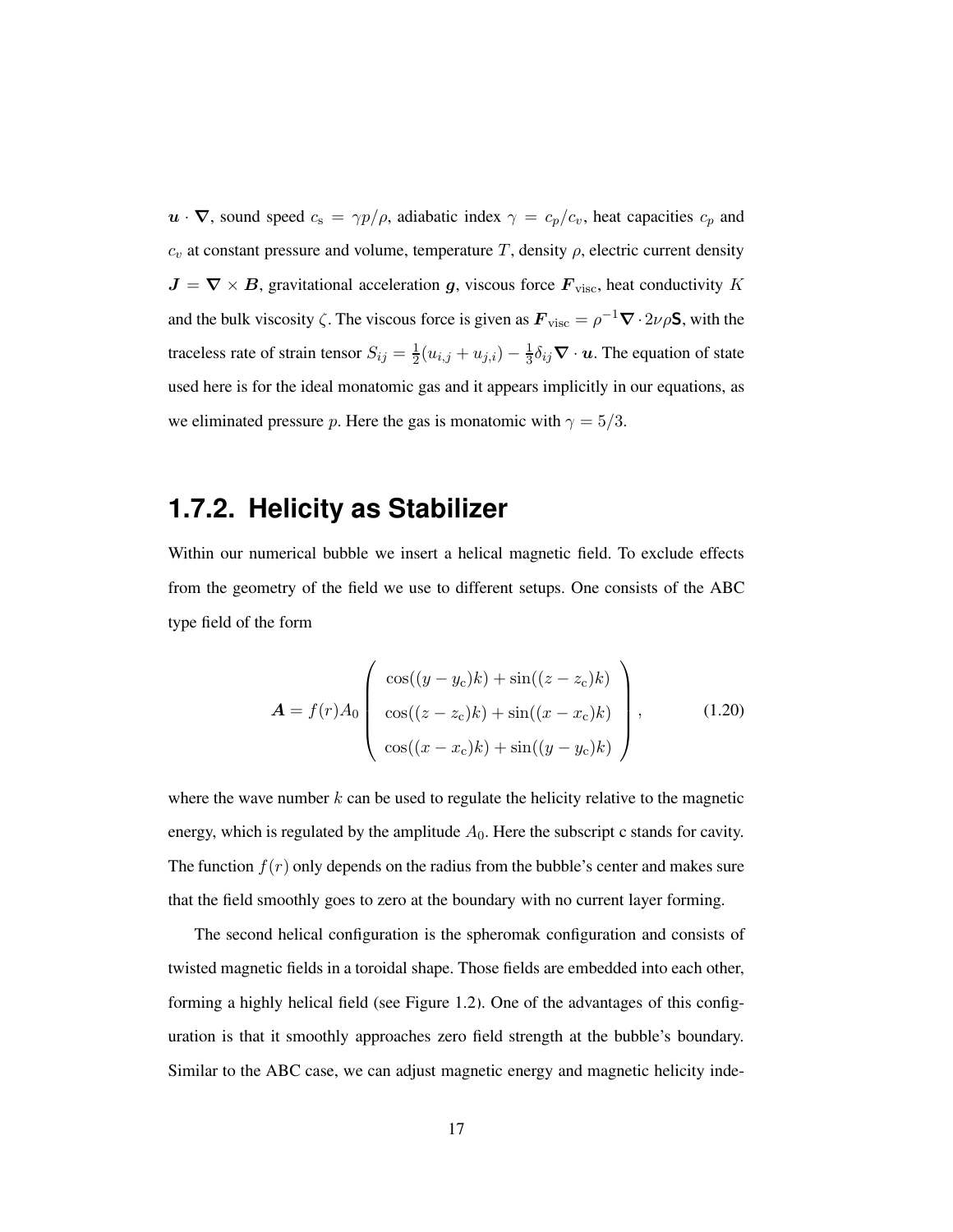$u \cdot \nabla$ , sound speed  $c_s = \gamma p/\rho$ , adiabatic index  $\gamma = c_p/c_v$ , heat capacities  $c_p$  and  $c_v$  at constant pressure and volume, temperature T, density  $\rho$ , electric current density  $J = \nabla \times B$ , gravitational acceleration g, viscous force  $F_{\text{visc}}$ , heat conductivity K and the bulk viscosity  $\zeta$ . The viscous force is given as  $\mathbf{F}_{\text{visc}} = \rho^{-1} \nabla \cdot 2\nu \rho \mathbf{S}$ , with the traceless rate of strain tensor  $S_{ij} = \frac{1}{2}$  $\frac{1}{2}(u_{i,j} + u_{j,i}) - \frac{1}{3}$  $\frac{1}{3}\delta_{ij}\nabla \cdot \boldsymbol{u}$ . The equation of state used here is for the ideal monatomic gas and it appears implicitly in our equations, as we eliminated pressure p. Here the gas is monatomic with  $\gamma = 5/3$ .

## **1.7.2. Helicity as Stabilizer**

Within our numerical bubble we insert a helical magnetic field. To exclude effects from the geometry of the field we use to different setups. One consists of the ABC type field of the form

$$
\mathbf{A} = f(r)A_0 \begin{pmatrix} \cos((y - y_c)k) + \sin((z - z_c)k) \\ \cos((z - z_c)k) + \sin((x - x_c)k) \\ \cos((x - x_c)k) + \sin((y - y_c)k) \end{pmatrix},
$$
(1.20)

where the wave number  $k$  can be used to regulate the helicity relative to the magnetic energy, which is regulated by the amplitude  $A_0$ . Here the subscript c stands for cavity. The function  $f(r)$  only depends on the radius from the bubble's center and makes sure that the field smoothly goes to zero at the boundary with no current layer forming.

The second helical configuration is the spheromak configuration and consists of twisted magnetic fields in a toroidal shape. Those fields are embedded into each other, forming a highly helical field (see Figure [1.2\)](#page-17-0). One of the advantages of this configuration is that it smoothly approaches zero field strength at the bubble's boundary. Similar to the ABC case, we can adjust magnetic energy and magnetic helicity inde-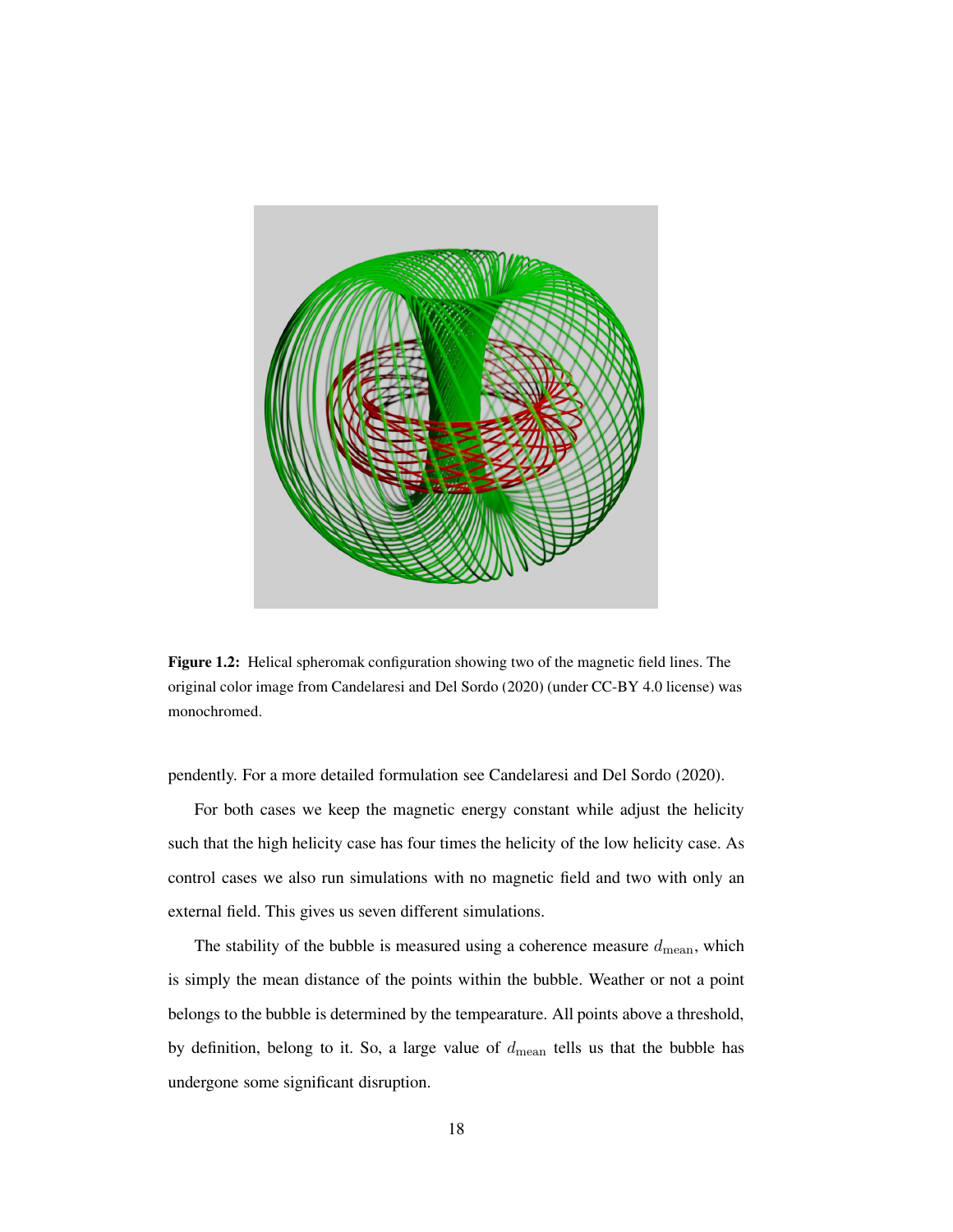

Figure 1.2: Helical spheromak configuration showing two of the magnetic field lines. The original color image from [Candelaresi and Del Sordo \(2020](#page-21-7)) (under CC-BY 4.0 license) was monochromed.

<span id="page-17-0"></span>pendently. For a more detailed formulation see Candelaresi [and Del Sordo \(2020\)](#page-21-7).

For both cases we keep the magnetic energy constant while adjust the helicity such that the high helicity case has four times the helicity of the low helicity case. As control cases we also run simulations with no magnetic field and two with only an external field. This gives us seven different simulations.

The stability of the bubble is measured using a coherence measure  $d_{\rm mean}$ , which is simply the mean distance of the points within the bubble. Weather or not a point belongs to the bubble is determined by the tempearature. All points above a threshold, by definition, belong to it. So, a large value of  $d_{\text{mean}}$  tells us that the bubble has undergone some significant disruption.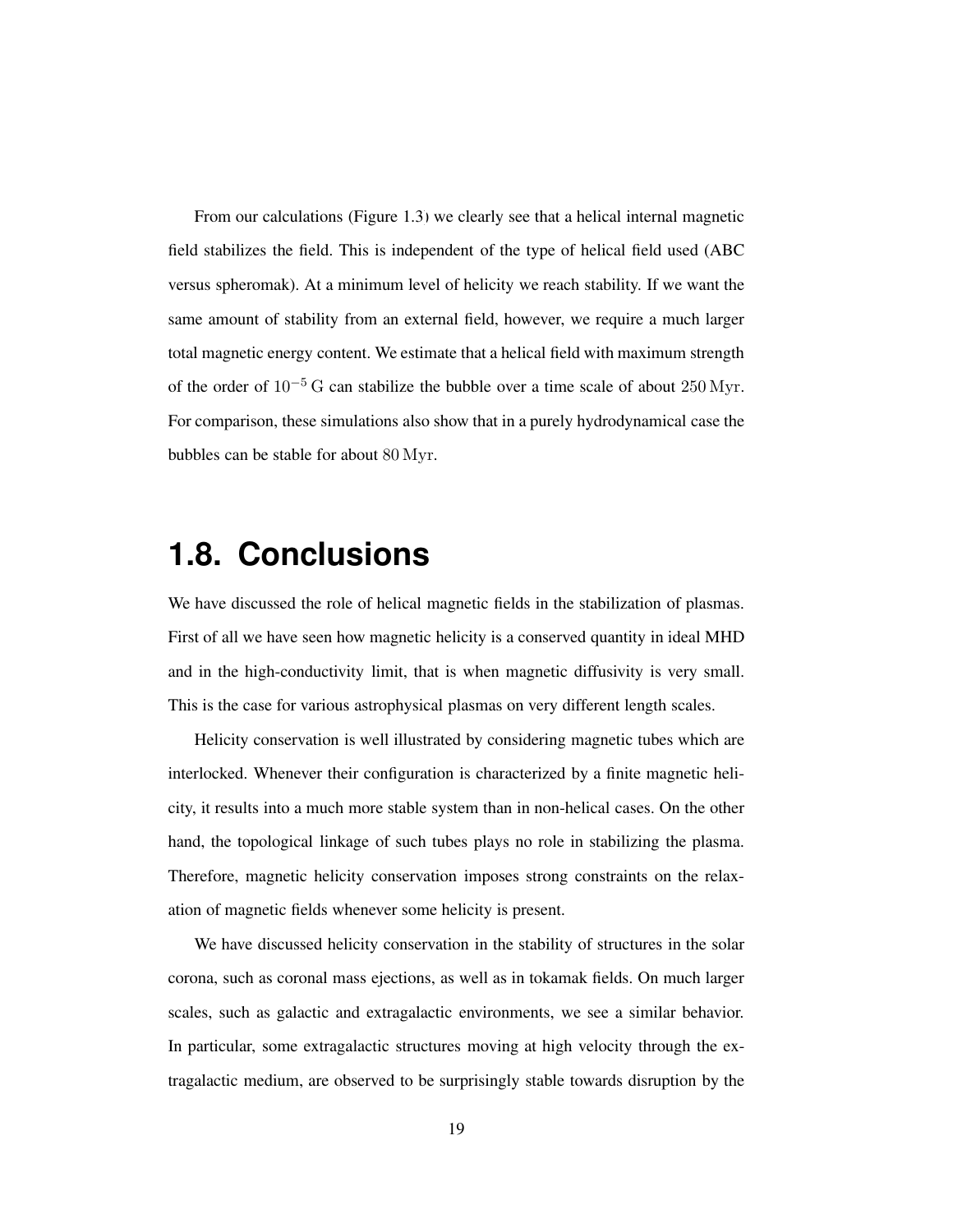From our calculations (Figure [1.3\)](#page-26-0) we clearly see that a helical internal magnetic field stabilizes the field. This is independent of the type of helical field used (ABC versus spheromak). At a minimum level of helicity we reach stability. If we want the same amount of stability from an external field, however, we require a much larger total magnetic energy content. We estimate that a helical field with maximum strength of the order of  $10^{-5}$  G can stabilize the bubble over a time scale of about 250 Myr. For comparison, these simulations also show that in a purely hydrodynamical case the bubbles can be stable for about 80 Myr.

## <span id="page-18-0"></span>**1.8. Conclusions**

We have discussed the role of helical magnetic fields in the stabilization of plasmas. First of all we have seen how magnetic helicity is a conserved quantity in ideal MHD and in the high-conductivity limit, that is when magnetic diffusivity is very small. This is the case for various astrophysical plasmas on very different length scales.

Helicity conservation is well illustrated by considering magnetic tubes which are interlocked. Whenever their configuration is characterized by a finite magnetic helicity, it results into a much more stable system than in non-helical cases. On the other hand, the topological linkage of such tubes plays no role in stabilizing the plasma. Therefore, magnetic helicity conservation imposes strong constraints on the relaxation of magnetic fields whenever some helicity is present.

We have discussed helicity conservation in the stability of structures in the solar corona, such as coronal mass ejections, as well as in tokamak fields. On much larger scales, such as galactic and extragalactic environments, we see a similar behavior. In particular, some extragalactic structures moving at high velocity through the extragalactic medium, are observed to be surprisingly stable towards disruption by the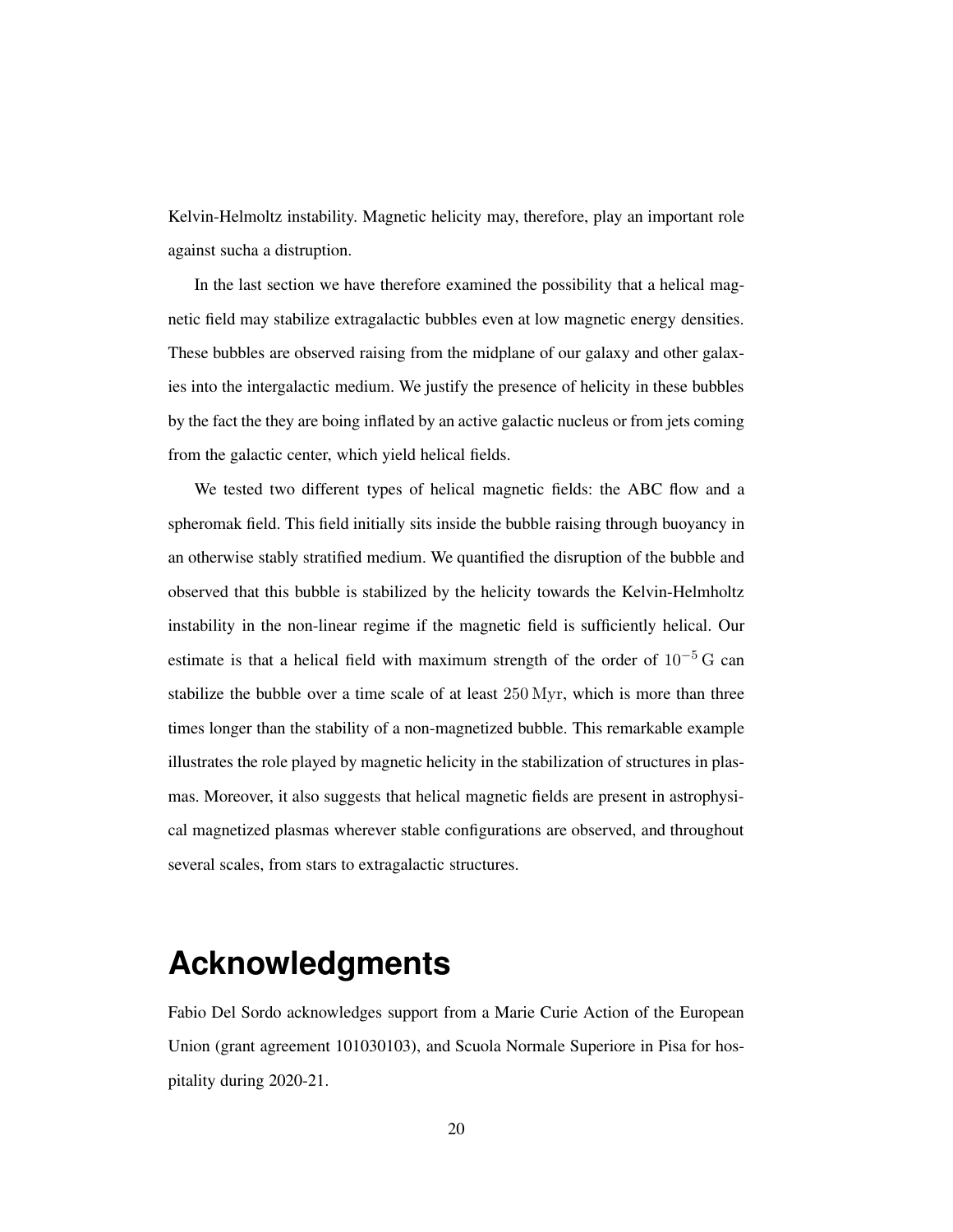Kelvin-Helmoltz instability. Magnetic helicity may, therefore, play an important role against sucha a distruption.

In the last section we have therefore examined the possibility that a helical magnetic field may stabilize extragalactic bubbles even at low magnetic energy densities. These bubbles are observed raising from the midplane of our galaxy and other galaxies into the intergalactic medium. We justify the presence of helicity in these bubbles by the fact the they are boing inflated by an active galactic nucleus or from jets coming from the galactic center, which yield helical fields.

We tested two different types of helical magnetic fields: the ABC flow and a spheromak field. This field initially sits inside the bubble raising through buoyancy in an otherwise stably stratified medium. We quantified the disruption of the bubble and observed that this bubble is stabilized by the helicity towards the Kelvin-Helmholtz instability in the non-linear regime if the magnetic field is sufficiently helical. Our estimate is that a helical field with maximum strength of the order of  $10^{-5}$  G can stabilize the bubble over a time scale of at least 250 Myr, which is more than three times longer than the stability of a non-magnetized bubble. This remarkable example illustrates the role played by magnetic helicity in the stabilization of structures in plasmas. Moreover, it also suggests that helical magnetic fields are present in astrophysical magnetized plasmas wherever stable configurations are observed, and throughout several scales, from stars to extragalactic structures.

# **Acknowledgments**

Fabio Del Sordo acknowledges support from a Marie Curie Action of the European Union (grant agreement 101030103), and Scuola Normale Superiore in Pisa for hospitality during 2020-21.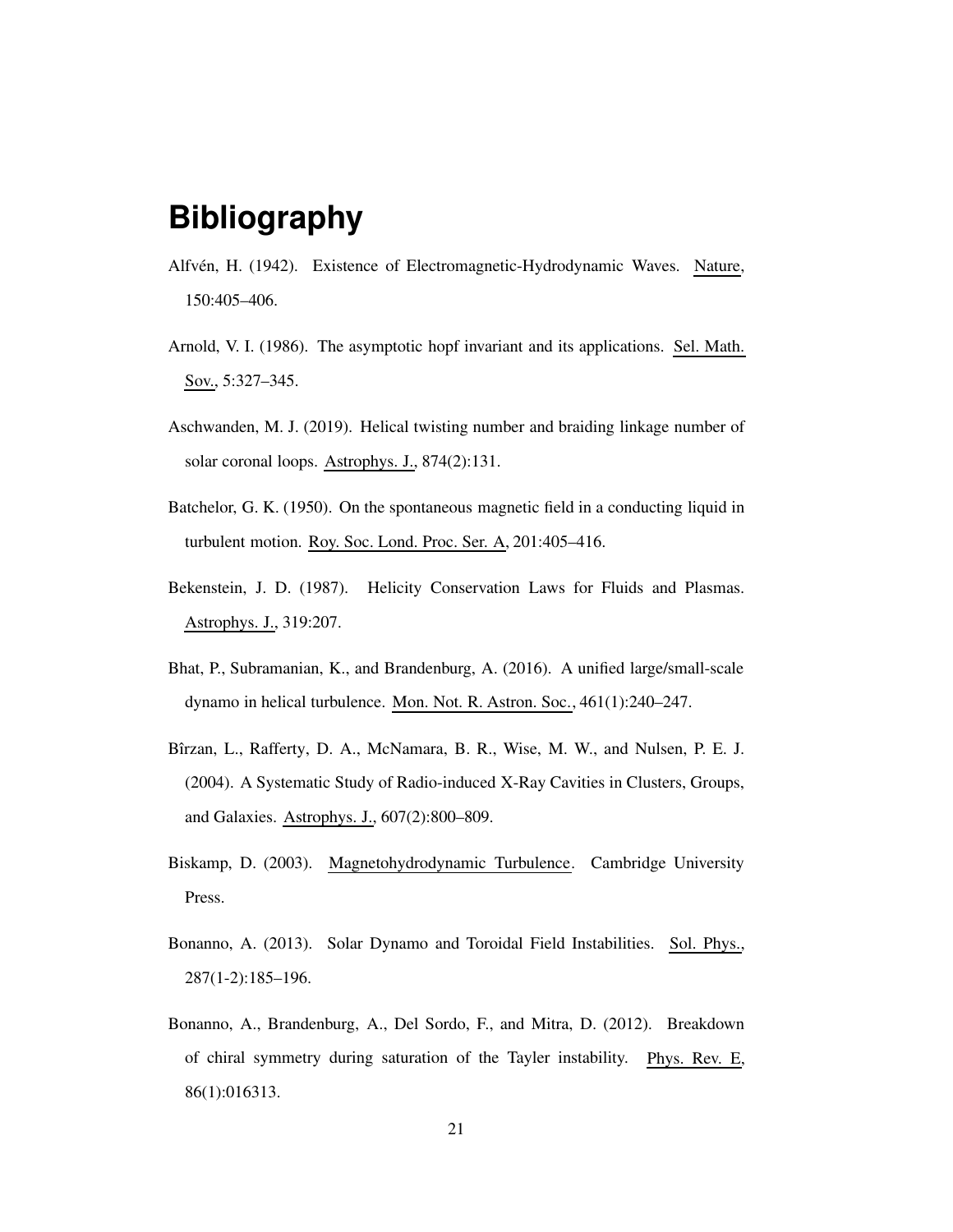# **Bibliography**

- <span id="page-20-7"></span>Alfvén, H. (1942). Existence of Electromagnetic-Hydrodynamic Waves. Nature, 150:405–406.
- <span id="page-20-3"></span>Arnold, V. I. (1986). The asymptotic hopf invariant and its applications. Sel. Math. Sov., 5:327–345.
- <span id="page-20-5"></span>Aschwanden, M. J. (2019). Helical twisting number and braiding linkage number of solar coronal loops. Astrophys. J., 874(2):131.
- <span id="page-20-8"></span>Batchelor, G. K. (1950). On the spontaneous magnetic field in a conducting liquid in turbulent motion. Roy. Soc. Lond. Proc. Ser. A, 201:405–416.
- <span id="page-20-2"></span>Bekenstein, J. D. (1987). Helicity Conservation Laws for Fluids and Plasmas. Astrophys. J., 319:207.
- <span id="page-20-0"></span>Bhat, P., Subramanian, K., and Brandenburg, A. (2016). A unified large/small-scale dynamo in helical turbulence. Mon. Not. R. Astron. Soc., 461(1):240–247.
- <span id="page-20-9"></span>Bîrzan, L., Rafferty, D. A., McNamara, B. R., Wise, M. W., and Nulsen, P. E. J. (2004). A Systematic Study of Radio-induced X-Ray Cavities in Clusters, Groups, and Galaxies. Astrophys. J., 607(2):800–809.
- <span id="page-20-6"></span>Biskamp, D. (2003). Magnetohydrodynamic Turbulence. Cambridge University Press.
- <span id="page-20-4"></span>Bonanno, A. (2013). Solar Dynamo and Toroidal Field Instabilities. Sol. Phys., 287(1-2):185–196.
- <span id="page-20-1"></span>Bonanno, A., Brandenburg, A., Del Sordo, F., and Mitra, D. (2012). Breakdown of chiral symmetry during saturation of the Tayler instability. Phys. Rev. E, 86(1):016313.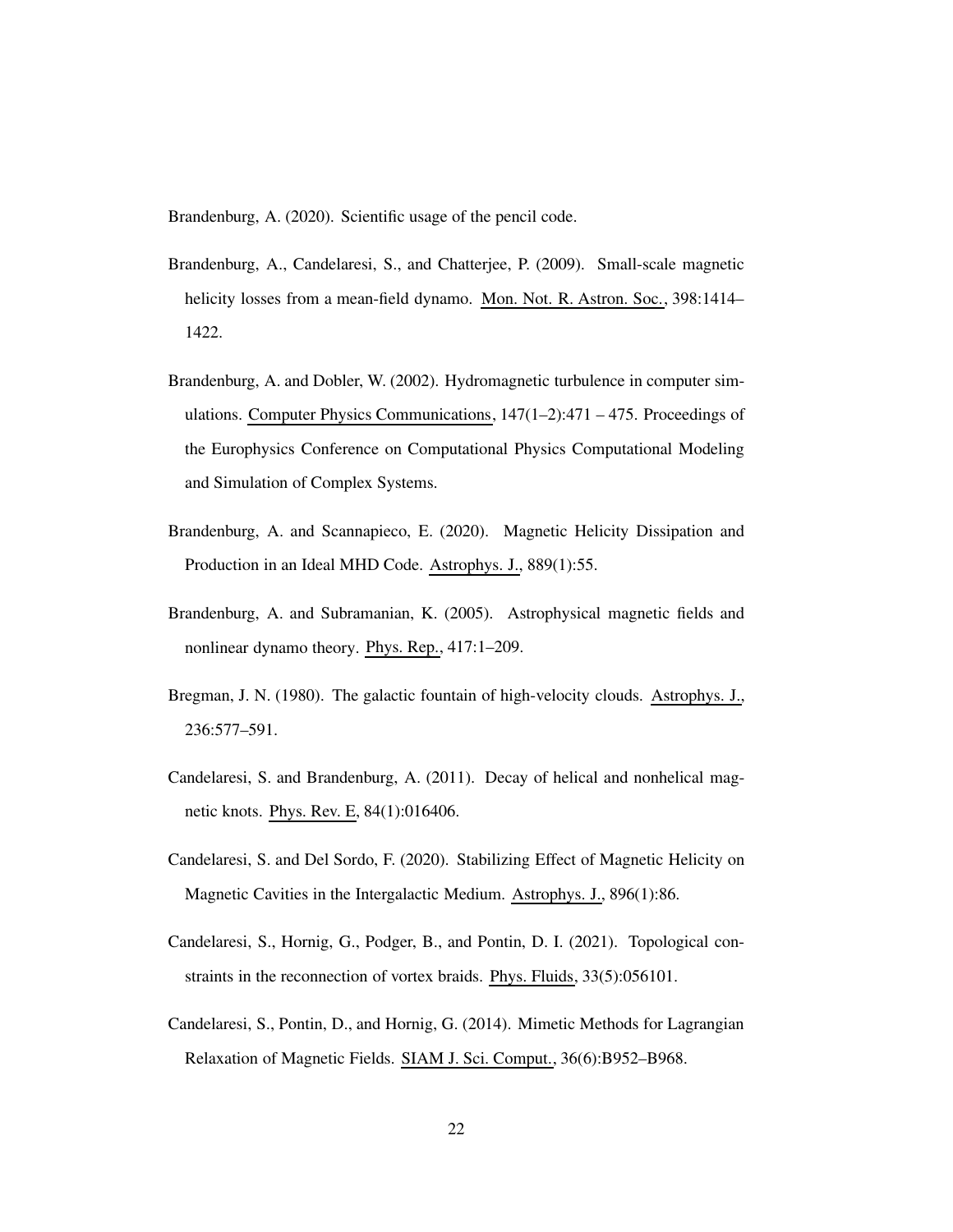<span id="page-21-9"></span>Brandenburg, A. (2020). Scientific usage of the pencil code.

- <span id="page-21-5"></span>Brandenburg, A., Candelaresi, S., and Chatterjee, P. (2009). Small-scale magnetic helicity losses from a mean-field dynamo. Mon. Not. R. Astron. Soc., 398:1414– 1422.
- <span id="page-21-8"></span>Brandenburg, A. and Dobler, W. (2002). Hydromagnetic turbulence in computer simulations. Computer Physics Communications,  $147(1-2)$ :471 – 475. Proceedings of the Europhysics Conference on Computational Physics Computational Modeling and Simulation of Complex Systems.
- <span id="page-21-1"></span>Brandenburg, A. and Scannapieco, E. (2020). Magnetic Helicity Dissipation and Production in an Ideal MHD Code. Astrophys. J., 889(1):55.
- <span id="page-21-0"></span>Brandenburg, A. and Subramanian, K. (2005). Astrophysical magnetic fields and nonlinear dynamo theory. Phys. Rep., 417:1–209.
- <span id="page-21-6"></span>Bregman, J. N. (1980). The galactic fountain of high-velocity clouds. Astrophys. J., 236:577–591.
- <span id="page-21-4"></span>Candelaresi, S. and Brandenburg, A. (2011). Decay of helical and nonhelical magnetic knots. Phys. Rev. E, 84(1):016406.
- <span id="page-21-7"></span>Candelaresi, S. and Del Sordo, F. (2020). Stabilizing Effect of Magnetic Helicity on Magnetic Cavities in the Intergalactic Medium. Astrophys. J., 896(1):86.
- <span id="page-21-3"></span>Candelaresi, S., Hornig, G., Podger, B., and Pontin, D. I. (2021). Topological constraints in the reconnection of vortex braids. Phys. Fluids, 33(5):056101.
- <span id="page-21-2"></span>Candelaresi, S., Pontin, D., and Hornig, G. (2014). Mimetic Methods for Lagrangian Relaxation of Magnetic Fields. SIAM J. Sci. Comput., 36(6):B952–B968.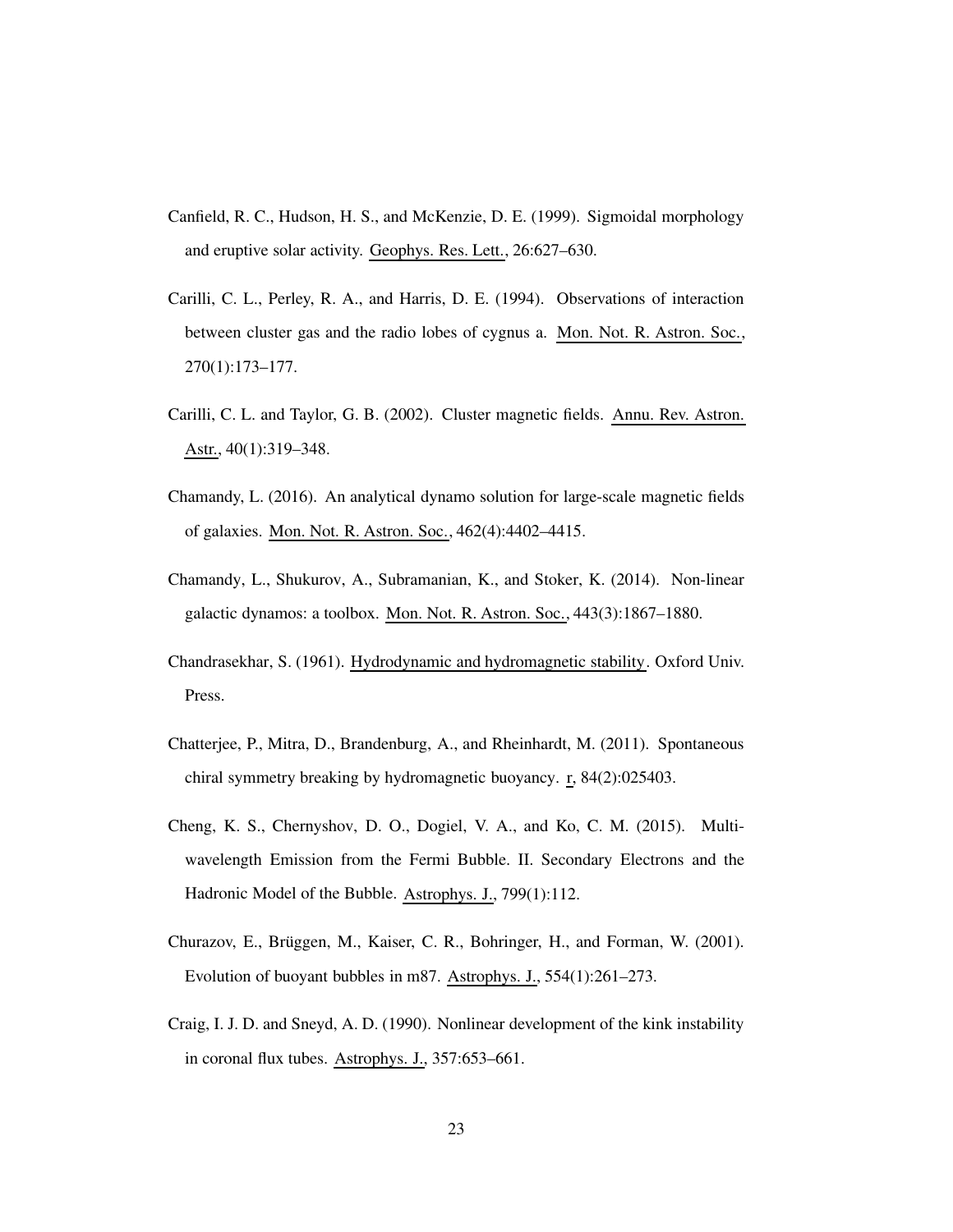- <span id="page-22-1"></span>Canfield, R. C., Hudson, H. S., and McKenzie, D. E. (1999). Sigmoidal morphology and eruptive solar activity. Geophys. Res. Lett., 26:627–630.
- <span id="page-22-5"></span>Carilli, C. L., Perley, R. A., and Harris, D. E. (1994). Observations of interaction between cluster gas and the radio lobes of cygnus a. Mon. Not. R. Astron. Soc., 270(1):173–177.
- <span id="page-22-6"></span>Carilli, C. L. and Taylor, G. B. (2002). Cluster magnetic fields. Annu. Rev. Astron. Astr., 40(1):319–348.
- <span id="page-22-4"></span>Chamandy, L. (2016). An analytical dynamo solution for large-scale magnetic fields of galaxies. Mon. Not. R. Astron. Soc., 462(4):4402–4415.
- <span id="page-22-3"></span>Chamandy, L., Shukurov, A., Subramanian, K., and Stoker, K. (2014). Non-linear galactic dynamos: a toolbox. Mon. Not. R. Astron. Soc., 443(3):1867–1880.
- <span id="page-22-9"></span>Chandrasekhar, S. (1961). Hydrodynamic and hydromagnetic stability. Oxford Univ. Press.
- <span id="page-22-0"></span>Chatterjee, P., Mitra, D., Brandenburg, A., and Rheinhardt, M. (2011). Spontaneous chiral symmetry breaking by hydromagnetic buoyancy. r, 84(2):025403.
- <span id="page-22-8"></span>Cheng, K. S., Chernyshov, D. O., Dogiel, V. A., and Ko, C. M. (2015). Multiwavelength Emission from the Fermi Bubble. II. Secondary Electrons and the Hadronic Model of the Bubble. Astrophys. J., 799(1):112.
- <span id="page-22-7"></span>Churazov, E., Brüggen, M., Kaiser, C. R., Bohringer, H., and Forman, W. (2001). Evolution of buoyant bubbles in m87. Astrophys. J., 554(1):261–273.
- <span id="page-22-2"></span>Craig, I. J. D. and Sneyd, A. D. (1990). Nonlinear development of the kink instability in coronal flux tubes. Astrophys. J., 357:653–661.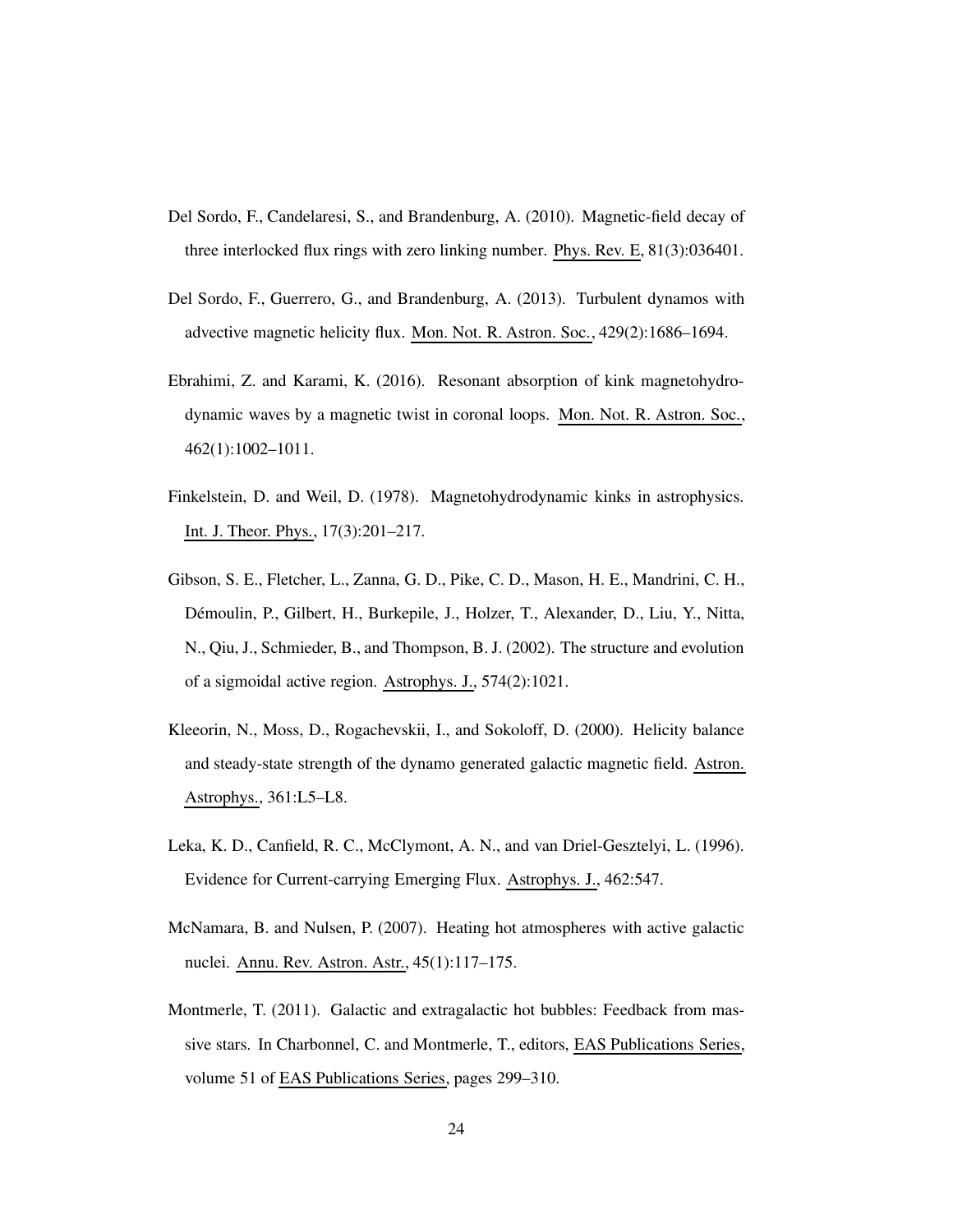- <span id="page-23-2"></span>Del Sordo, F., Candelaresi, S., and Brandenburg, A. (2010). Magnetic-field decay of three interlocked flux rings with zero linking number. Phys. Rev. E, 81(3):036401.
- <span id="page-23-1"></span>Del Sordo, F., Guerrero, G., and Brandenburg, A. (2013). Turbulent dynamos with advective magnetic helicity flux. Mon. Not. R. Astron. Soc., 429(2):1686–1694.
- <span id="page-23-5"></span>Ebrahimi, Z. and Karami, K. (2016). Resonant absorption of kink magnetohydrodynamic waves by a magnetic twist in coronal loops. Mon. Not. R. Astron. Soc., 462(1):1002–1011.
- <span id="page-23-4"></span>Finkelstein, D. and Weil, D. (1978). Magnetohydrodynamic kinks in astrophysics. Int. J. Theor. Phys., 17(3):201–217.
- <span id="page-23-3"></span>Gibson, S. E., Fletcher, L., Zanna, G. D., Pike, C. D., Mason, H. E., Mandrini, C. H., D´emoulin, P., Gilbert, H., Burkepile, J., Holzer, T., Alexander, D., Liu, Y., Nitta, N., Qiu, J., Schmieder, B., and Thompson, B. J. (2002). The structure and evolution of a sigmoidal active region. Astrophys. J., 574(2):1021.
- <span id="page-23-6"></span>Kleeorin, N., Moss, D., Rogachevskii, I., and Sokoloff, D. (2000). Helicity balance and steady-state strength of the dynamo generated galactic magnetic field. Astron. Astrophys., 361:L5–L8.
- <span id="page-23-0"></span>Leka, K. D., Canfield, R. C., McClymont, A. N., and van Driel-Gesztelyi, L. (1996). Evidence for Current-carrying Emerging Flux. Astrophys. J., 462:547.
- <span id="page-23-7"></span>McNamara, B. and Nulsen, P. (2007). Heating hot atmospheres with active galactic nuclei. Annu. Rev. Astron. Astr., 45(1):117–175.
- <span id="page-23-8"></span>Montmerle, T. (2011). Galactic and extragalactic hot bubbles: Feedback from massive stars. In Charbonnel, C. and Montmerle, T., editors, EAS Publications Series, volume 51 of EAS Publications Series, pages 299–310.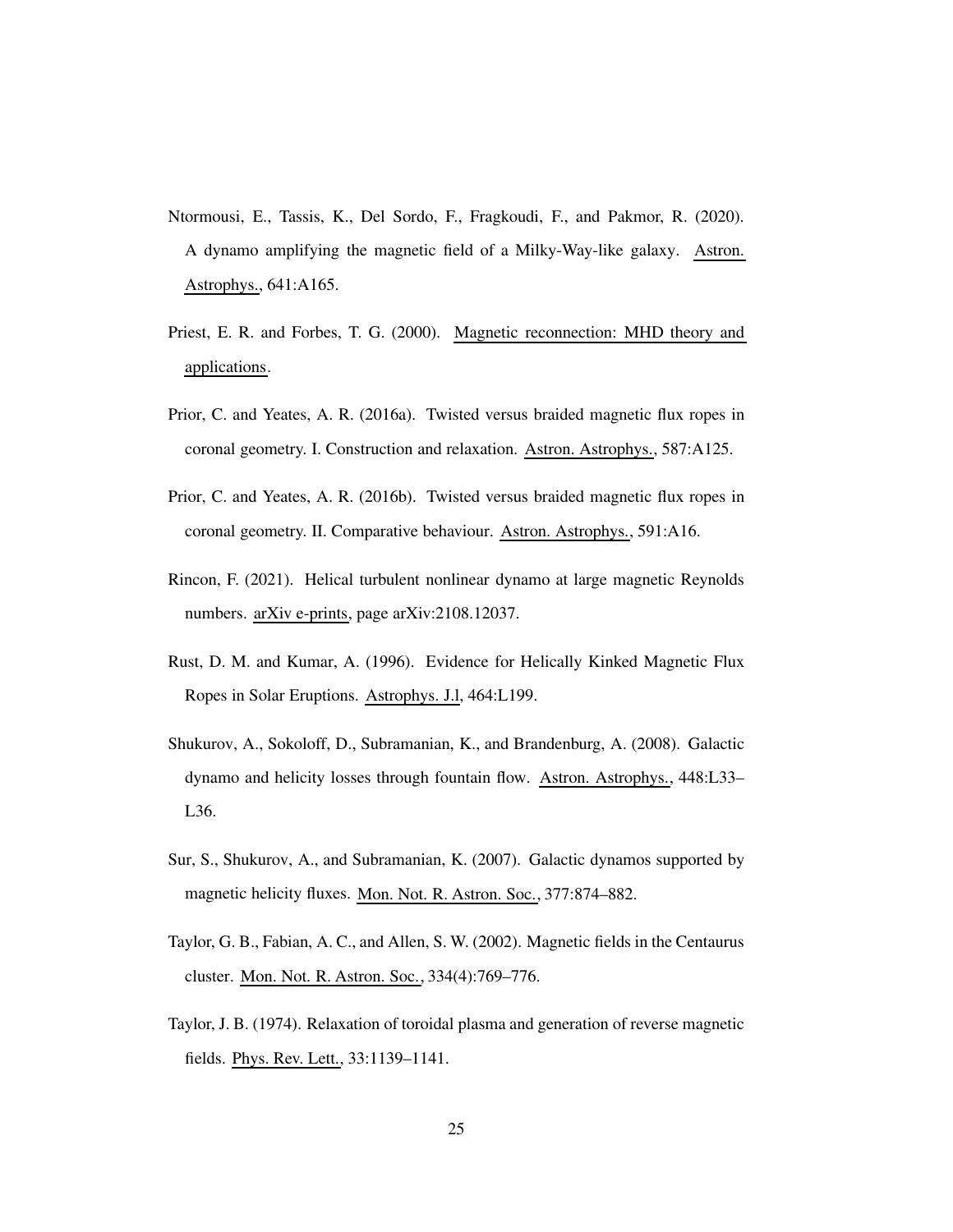- <span id="page-24-0"></span>Ntormousi, E., Tassis, K., Del Sordo, F., Fragkoudi, F., and Pakmor, R. (2020). A dynamo amplifying the magnetic field of a Milky-Way-like galaxy. Astron. Astrophys., 641:A165.
- <span id="page-24-2"></span>Priest, E. R. and Forbes, T. G. (2000). Magnetic reconnection: MHD theory and applications.
- <span id="page-24-5"></span>Prior, C. and Yeates, A. R. (2016a). Twisted versus braided magnetic flux ropes in coronal geometry. I. Construction and relaxation. Astron. Astrophys., 587:A125.
- <span id="page-24-6"></span>Prior, C. and Yeates, A. R. (2016b). Twisted versus braided magnetic flux ropes in coronal geometry. II. Comparative behaviour. Astron. Astrophys., 591:A16.
- <span id="page-24-1"></span>Rincon, F. (2021). Helical turbulent nonlinear dynamo at large magnetic Reynolds numbers. arXiv e-prints, page arXiv:2108.12037.
- <span id="page-24-4"></span>Rust, D. M. and Kumar, A. (1996). Evidence for Helically Kinked Magnetic Flux Ropes in Solar Eruptions. Astrophys. J.l, 464:L199.
- <span id="page-24-8"></span>Shukurov, A., Sokoloff, D., Subramanian, K., and Brandenburg, A. (2008). Galactic dynamo and helicity losses through fountain flow. Astron. Astrophys., 448:L33– L36.
- <span id="page-24-7"></span>Sur, S., Shukurov, A., and Subramanian, K. (2007). Galactic dynamos supported by magnetic helicity fluxes. Mon. Not. R. Astron. Soc., 377:874–882.
- <span id="page-24-9"></span>Taylor, G. B., Fabian, A. C., and Allen, S. W. (2002). Magnetic fields in the Centaurus cluster. Mon. Not. R. Astron. Soc., 334(4):769–776.
- <span id="page-24-3"></span>Taylor, J. B. (1974). Relaxation of toroidal plasma and generation of reverse magnetic fields. Phys. Rev. Lett., 33:1139–1141.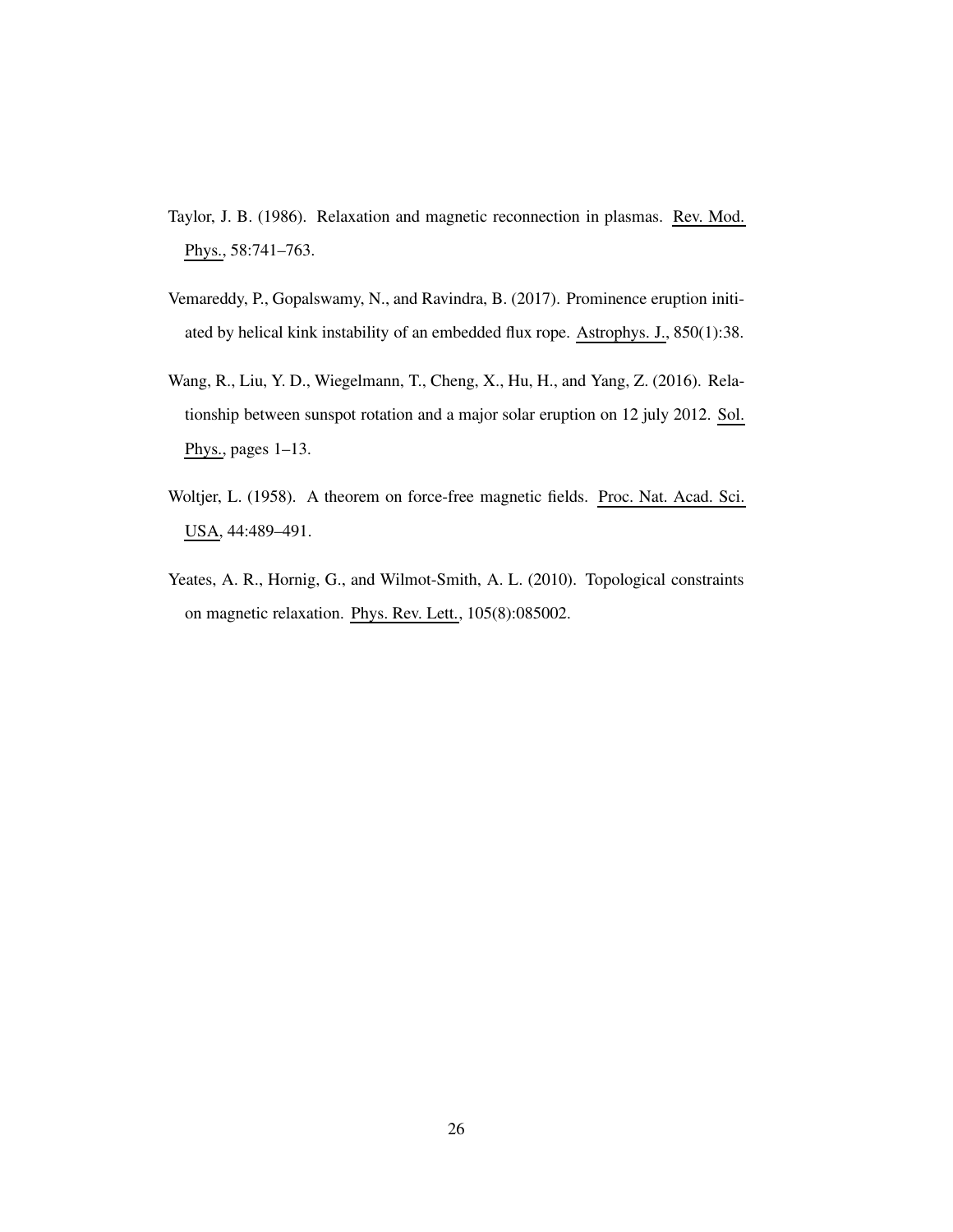- <span id="page-25-3"></span>Taylor, J. B. (1986). Relaxation and magnetic reconnection in plasmas. Rev. Mod. Phys., 58:741–763.
- <span id="page-25-1"></span>Vemareddy, P., Gopalswamy, N., and Ravindra, B. (2017). Prominence eruption initiated by helical kink instability of an embedded flux rope. Astrophys. J., 850(1):38.
- <span id="page-25-2"></span>Wang, R., Liu, Y. D., Wiegelmann, T., Cheng, X., Hu, H., and Yang, Z. (2016). Relationship between sunspot rotation and a major solar eruption on 12 july 2012. Sol. Phys., pages  $1-13$ .
- <span id="page-25-0"></span>Woltjer, L. (1958). A theorem on force-free magnetic fields. Proc. Nat. Acad. Sci. USA, 44:489–491.
- <span id="page-25-4"></span>Yeates, A. R., Hornig, G., and Wilmot-Smith, A. L. (2010). Topological constraints on magnetic relaxation. Phys. Rev. Lett., 105(8):085002.